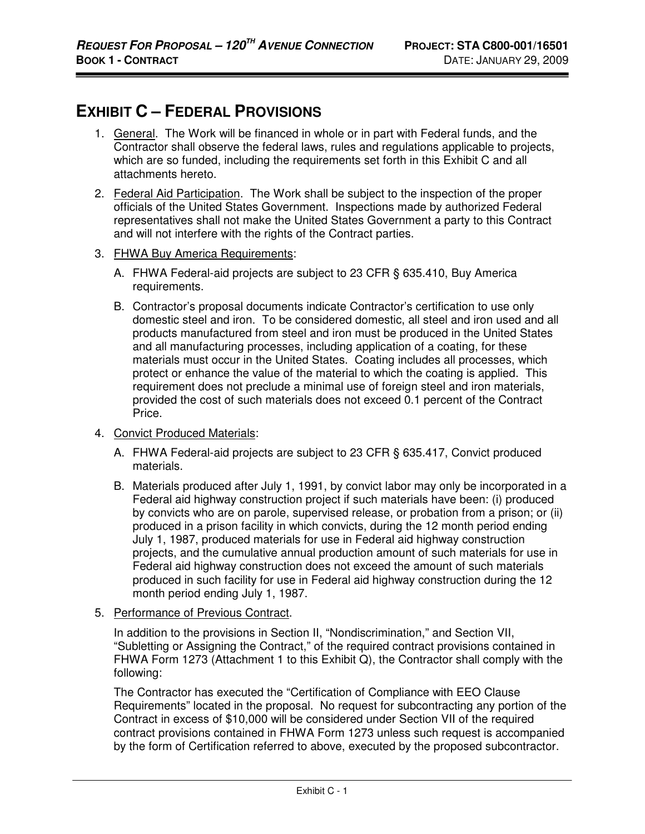# **EXHIBIT C – FEDERAL PROVISIONS**

- 1. General. The Work will be financed in whole or in part with Federal funds, and the Contractor shall observe the federal laws, rules and regulations applicable to projects, which are so funded, including the requirements set forth in this Exhibit C and all attachments hereto.
- 2. Federal Aid Participation. The Work shall be subject to the inspection of the proper officials of the United States Government. Inspections made by authorized Federal representatives shall not make the United States Government a party to this Contract and will not interfere with the rights of the Contract parties.
- 3. FHWA Buy America Requirements:
	- A. FHWA Federal-aid projects are subject to 23 CFR § 635.410, Buy America requirements.
	- B. Contractor's proposal documents indicate Contractor's certification to use only domestic steel and iron. To be considered domestic, all steel and iron used and all products manufactured from steel and iron must be produced in the United States and all manufacturing processes, including application of a coating, for these materials must occur in the United States. Coating includes all processes, which protect or enhance the value of the material to which the coating is applied. This requirement does not preclude a minimal use of foreign steel and iron materials, provided the cost of such materials does not exceed 0.1 percent of the Contract Price.
- 4. Convict Produced Materials:
	- A. FHWA Federal-aid projects are subject to 23 CFR § 635.417, Convict produced materials.
	- B. Materials produced after July 1, 1991, by convict labor may only be incorporated in a Federal aid highway construction project if such materials have been: (i) produced by convicts who are on parole, supervised release, or probation from a prison; or (ii) produced in a prison facility in which convicts, during the 12 month period ending July 1, 1987, produced materials for use in Federal aid highway construction projects, and the cumulative annual production amount of such materials for use in Federal aid highway construction does not exceed the amount of such materials produced in such facility for use in Federal aid highway construction during the 12 month period ending July 1, 1987.
- 5. Performance of Previous Contract.

In addition to the provisions in Section II, "Nondiscrimination," and Section VII, "Subletting or Assigning the Contract," of the required contract provisions contained in FHWA Form 1273 (Attachment 1 to this Exhibit Q), the Contractor shall comply with the following:

The Contractor has executed the "Certification of Compliance with EEO Clause Requirements" located in the proposal. No request for subcontracting any portion of the Contract in excess of \$10,000 will be considered under Section VII of the required contract provisions contained in FHWA Form 1273 unless such request is accompanied by the form of Certification referred to above, executed by the proposed subcontractor.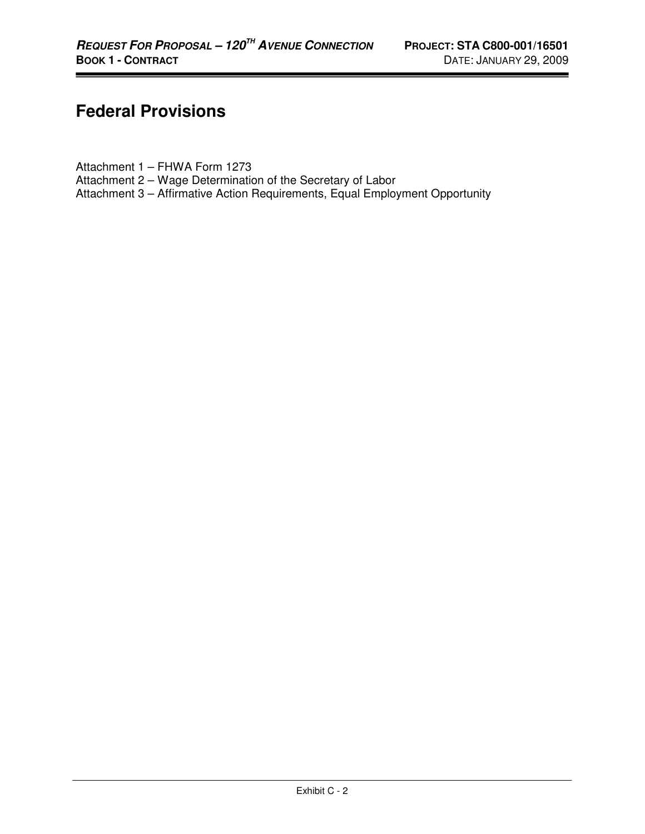# **Federal Provisions**

Attachment 1 – FHWA Form 1273

Attachment 2 – Wage Determination of the Secretary of Labor

Attachment 3 – Affirmative Action Requirements, Equal Employment Opportunity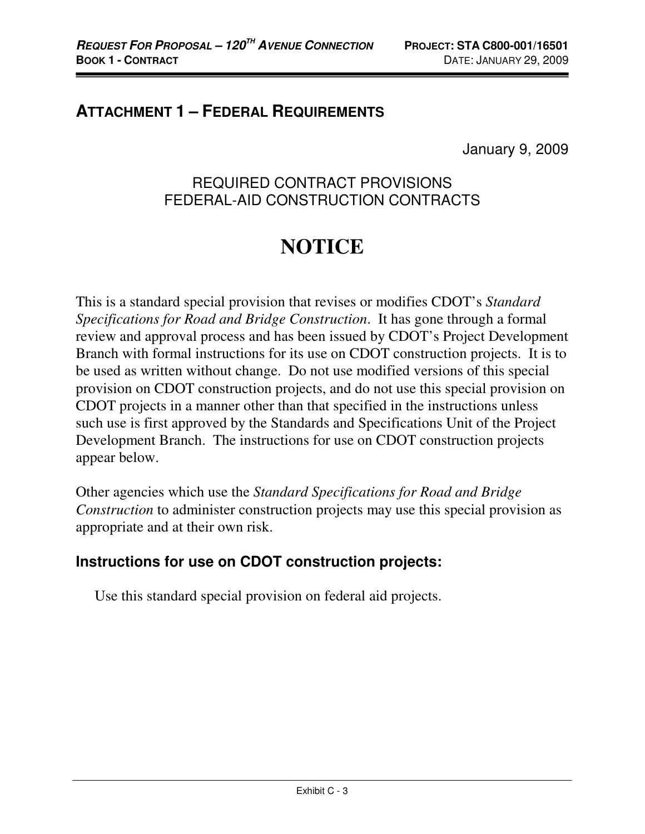# **ATTACHMENT 1 – FEDERAL REQUIREMENTS**

January 9, 2009

# REQUIRED CONTRACT PROVISIONS FEDERAL-AID CONSTRUCTION CONTRACTS

# **NOTICE**

This is a standard special provision that revises or modifies CDOT's *Standard Specifications for Road and Bridge Construction*. It has gone through a formal review and approval process and has been issued by CDOT's Project Development Branch with formal instructions for its use on CDOT construction projects. It is to be used as written without change. Do not use modified versions of this special provision on CDOT construction projects, and do not use this special provision on CDOT projects in a manner other than that specified in the instructions unless such use is first approved by the Standards and Specifications Unit of the Project Development Branch. The instructions for use on CDOT construction projects appear below.

Other agencies which use the *Standard Specifications for Road and Bridge Construction* to administer construction projects may use this special provision as appropriate and at their own risk.

# **Instructions for use on CDOT construction projects:**

Use this standard special provision on federal aid projects.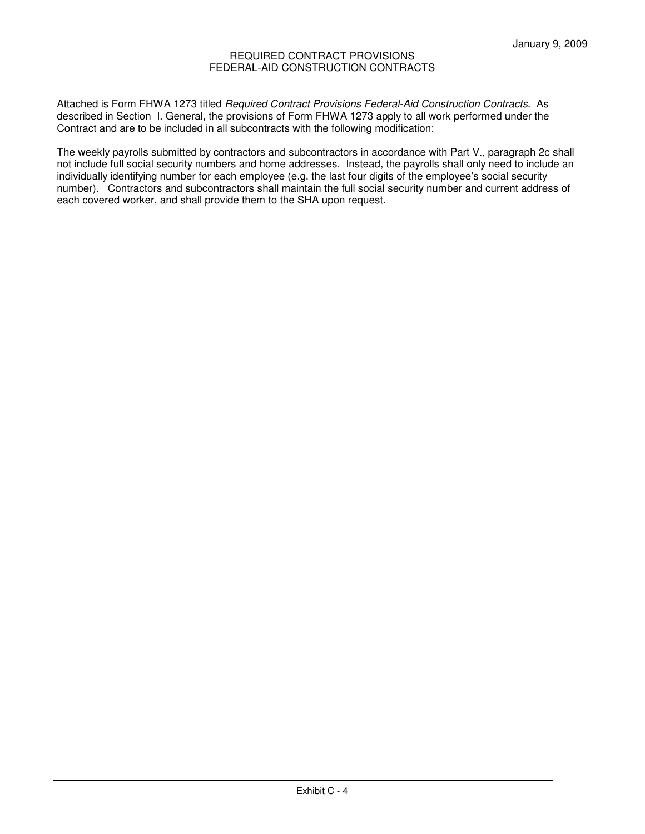Attached is Form FHWA 1273 titled Required Contract Provisions Federal-Aid Construction Contracts. As described in Section I. General, the provisions of Form FHWA 1273 apply to all work performed under the Contract and are to be included in all subcontracts with the following modification:

The weekly payrolls submitted by contractors and subcontractors in accordance with Part V., paragraph 2c shall not include full social security numbers and home addresses. Instead, the payrolls shall only need to include an individually identifying number for each employee (e.g. the last four digits of the employee's social security number). Contractors and subcontractors shall maintain the full social security number and current address of each covered worker, and shall provide them to the SHA upon request.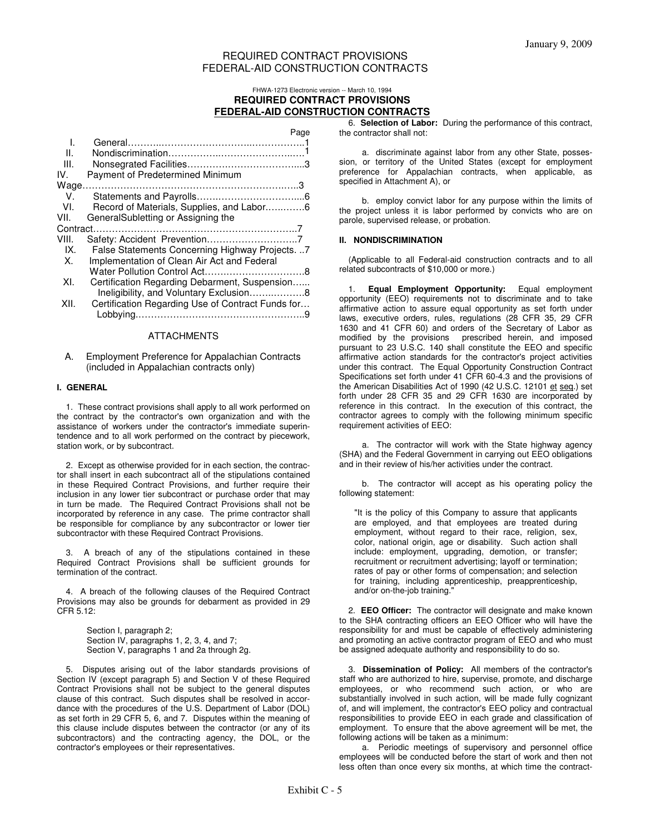#### FHWA-1273 Electronic version -- March 10, 1994 **REQUIRED CONTRACT PROVISIONS**

## **FEDERAL-AID CONSTRUCTION CONTRACTS**

Page I. General………..………………………..……………..1 II. Nondiscrimination……………………………………………………………3<br>III. Nonseqrated Facilities…………………………………………3 Nonsegrated Facilities……..................................3 IV. Payment of Predetermined Minimum Wage……………………………………………………………………………3<br>V. Statements and Payrolls…………………………………………6 V. Statements and Payrolls…….……………………....6 VI. Record of Materials, Supplies, and Labor................6<br>VII. GeneralSubletting or Assigning the GeneralSubletting or Assigning the Contract………………………………………………………..7 VIII. Safety: Accident Prevention………………………..7 IX. False Statements Concerning Highway Projects. ..7<br>
X. Implementation of Clean Air Act and Federal Implementation of Clean Air Act and Federal Water Pollution Control Act…….…………………….8 XI. Certification Regarding Debarment, Suspension…... Ineligibility, and Voluntary Exclusion……..……….8 XII. Certification Regarding Use of Contract Funds for… Lobbying.……………………………………………..9

#### ATTACHMENTS

 A. Employment Preference for Appalachian Contracts (included in Appalachian contracts only)

#### **I. GENERAL**

 1. These contract provisions shall apply to all work performed on the contract by the contractor's own organization and with the assistance of workers under the contractor's immediate superintendence and to all work performed on the contract by piecework, station work, or by subcontract.

 2. Except as otherwise provided for in each section, the contractor shall insert in each subcontract all of the stipulations contained in these Required Contract Provisions, and further require their inclusion in any lower tier subcontract or purchase order that may in turn be made. The Required Contract Provisions shall not be incorporated by reference in any case. The prime contractor shall be responsible for compliance by any subcontractor or lower tier subcontractor with these Required Contract Provisions.

A breach of any of the stipulations contained in these Required Contract Provisions shall be sufficient grounds for termination of the contract.

 4. A breach of the following clauses of the Required Contract Provisions may also be grounds for debarment as provided in 29 CFR 5.12:

> Section I, paragraph 2; Section IV, paragraphs 1, 2, 3, 4, and 7; Section V, paragraphs 1 and 2a through 2g.

 5. Disputes arising out of the labor standards provisions of Section IV (except paragraph 5) and Section V of these Required Contract Provisions shall not be subject to the general disputes clause of this contract. Such disputes shall be resolved in accordance with the procedures of the U.S. Department of Labor (DOL) as set forth in 29 CFR 5, 6, and 7. Disputes within the meaning of this clause include disputes between the contractor (or any of its subcontractors) and the contracting agency, the DOL, or the contractor's employees or their representatives.

 6. **Selection of Labor:** During the performance of this contract, the contractor shall not:

 a. discriminate against labor from any other State, possession, or territory of the United States (except for employment preference for Appalachian contracts, when applicable, as specified in Attachment A), or

 b. employ convict labor for any purpose within the limits of the project unless it is labor performed by convicts who are on parole, supervised release, or probation.

#### **II. NONDISCRIMINATION**

 (Applicable to all Federal-aid construction contracts and to all related subcontracts of \$10,000 or more.)

 1. **Equal Employment Opportunity:** Equal employment opportunity (EEO) requirements not to discriminate and to take affirmative action to assure equal opportunity as set forth under laws, executive orders, rules, regulations (28 CFR 35, 29 CFR 1630 and 41 CFR 60) and orders of the Secretary of Labor as modified by the provisions prescribed herein, and imposed pursuant to 23 U.S.C. 140 shall constitute the EEO and specific affirmative action standards for the contractor's project activities under this contract. The Equal Opportunity Construction Contract Specifications set forth under 41 CFR 60-4.3 and the provisions of the American Disabilities Act of 1990 (42 U.S.C. 12101 et seq.) set forth under 28 CFR 35 and 29 CFR 1630 are incorporated by reference in this contract. In the execution of this contract, the contractor agrees to comply with the following minimum specific requirement activities of EEO:

 a. The contractor will work with the State highway agency (SHA) and the Federal Government in carrying out EEO obligations and in their review of his/her activities under the contract.

 b. The contractor will accept as his operating policy the following statement:

"It is the policy of this Company to assure that applicants are employed, and that employees are treated during employment, without regard to their race, religion, sex, color, national origin, age or disability. Such action shall include: employment, upgrading, demotion, or transfer; recruitment or recruitment advertising; layoff or termination; rates of pay or other forms of compensation; and selection for training, including apprenticeship, preapprenticeship, and/or on-the-job training."

 2. **EEO Officer:** The contractor will designate and make known to the SHA contracting officers an EEO Officer who will have the responsibility for and must be capable of effectively administering and promoting an active contractor program of EEO and who must be assigned adequate authority and responsibility to do so.

 3. **Dissemination of Policy:** All members of the contractor's staff who are authorized to hire, supervise, promote, and discharge employees, or who recommend such action, or who are substantially involved in such action, will be made fully cognizant of, and will implement, the contractor's EEO policy and contractual responsibilities to provide EEO in each grade and classification of employment. To ensure that the above agreement will be met, the following actions will be taken as a minimum:

 a. Periodic meetings of supervisory and personnel office employees will be conducted before the start of work and then not less often than once every six months, at which time the contract-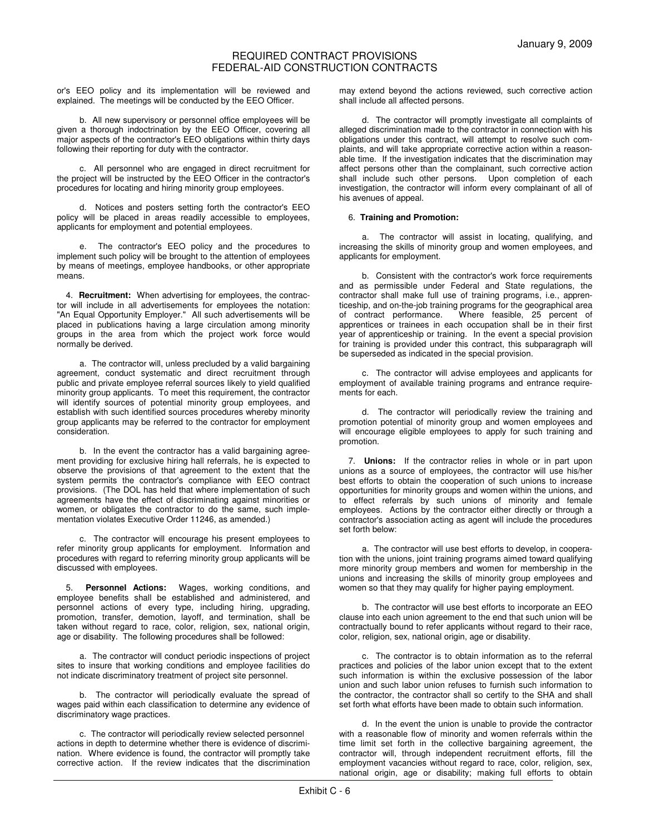or's EEO policy and its implementation will be reviewed and explained. The meetings will be conducted by the EEO Officer.

 b. All new supervisory or personnel office employees will be given a thorough indoctrination by the EEO Officer, covering all major aspects of the contractor's EEO obligations within thirty days following their reporting for duty with the contractor.

 c. All personnel who are engaged in direct recruitment for the project will be instructed by the EEO Officer in the contractor's procedures for locating and hiring minority group employees.

 d. Notices and posters setting forth the contractor's EEO policy will be placed in areas readily accessible to employees, applicants for employment and potential employees.

 e. The contractor's EEO policy and the procedures to implement such policy will be brought to the attention of employees by means of meetings, employee handbooks, or other appropriate means.

 4. **Recruitment:** When advertising for employees, the contractor will include in all advertisements for employees the notation: "An Equal Opportunity Employer." All such advertisements will be placed in publications having a large circulation among minority groups in the area from which the project work force would normally be derived.

 a. The contractor will, unless precluded by a valid bargaining agreement, conduct systematic and direct recruitment through public and private employee referral sources likely to yield qualified minority group applicants. To meet this requirement, the contractor will identify sources of potential minority group employees, and establish with such identified sources procedures whereby minority group applicants may be referred to the contractor for employment consideration.

 b. In the event the contractor has a valid bargaining agreement providing for exclusive hiring hall referrals, he is expected to observe the provisions of that agreement to the extent that the system permits the contractor's compliance with EEO contract provisions. (The DOL has held that where implementation of such agreements have the effect of discriminating against minorities or women, or obligates the contractor to do the same, such implementation violates Executive Order 11246, as amended.)

 c. The contractor will encourage his present employees to refer minority group applicants for employment. Information and procedures with regard to referring minority group applicants will be discussed with employees.

 5. **Personnel Actions:** Wages, working conditions, and employee benefits shall be established and administered, and personnel actions of every type, including hiring, upgrading, promotion, transfer, demotion, layoff, and termination, shall be taken without regard to race, color, religion, sex, national origin, age or disability. The following procedures shall be followed:

 a. The contractor will conduct periodic inspections of project sites to insure that working conditions and employee facilities do not indicate discriminatory treatment of project site personnel.

 b. The contractor will periodically evaluate the spread of wages paid within each classification to determine any evidence of discriminatory wage practices.

 c. The contractor will periodically review selected personnel actions in depth to determine whether there is evidence of discrimination. Where evidence is found, the contractor will promptly take corrective action. If the review indicates that the discrimination may extend beyond the actions reviewed, such corrective action shall include all affected persons.

 d. The contractor will promptly investigate all complaints of alleged discrimination made to the contractor in connection with his obligations under this contract, will attempt to resolve such complaints, and will take appropriate corrective action within a reasonable time. If the investigation indicates that the discrimination may affect persons other than the complainant, such corrective action shall include such other persons. Upon completion of each investigation, the contractor will inform every complainant of all of his avenues of appeal.

#### 6. **Training and Promotion:**

 a. The contractor will assist in locating, qualifying, and increasing the skills of minority group and women employees, and applicants for employment.

 b. Consistent with the contractor's work force requirements and as permissible under Federal and State regulations, the contractor shall make full use of training programs, i.e., apprenticeship, and on-the-job training programs for the geographical area<br>of contract performance. Where feasible, 25 percent of Where feasible, 25 percent of apprentices or trainees in each occupation shall be in their first year of apprenticeship or training. In the event a special provision for training is provided under this contract, this subparagraph will be superseded as indicated in the special provision.

 c. The contractor will advise employees and applicants for employment of available training programs and entrance requirements for each.

 d. The contractor will periodically review the training and promotion potential of minority group and women employees and will encourage eligible employees to apply for such training and promotion.

 7. **Unions:** If the contractor relies in whole or in part upon unions as a source of employees, the contractor will use his/her best efforts to obtain the cooperation of such unions to increase opportunities for minority groups and women within the unions, and to effect referrals by such unions of minority and female employees. Actions by the contractor either directly or through a contractor's association acting as agent will include the procedures set forth below:

 a. The contractor will use best efforts to develop, in cooperation with the unions, joint training programs aimed toward qualifying more minority group members and women for membership in the unions and increasing the skills of minority group employees and women so that they may qualify for higher paying employment.

 b. The contractor will use best efforts to incorporate an EEO clause into each union agreement to the end that such union will be contractually bound to refer applicants without regard to their race, color, religion, sex, national origin, age or disability.

 c. The contractor is to obtain information as to the referral practices and policies of the labor union except that to the extent such information is within the exclusive possession of the labor union and such labor union refuses to furnish such information to the contractor, the contractor shall so certify to the SHA and shall set forth what efforts have been made to obtain such information.

 d. In the event the union is unable to provide the contractor with a reasonable flow of minority and women referrals within the time limit set forth in the collective bargaining agreement, the contractor will, through independent recruitment efforts, fill the employment vacancies without regard to race, color, religion, sex, national origin, age or disability; making full efforts to obtain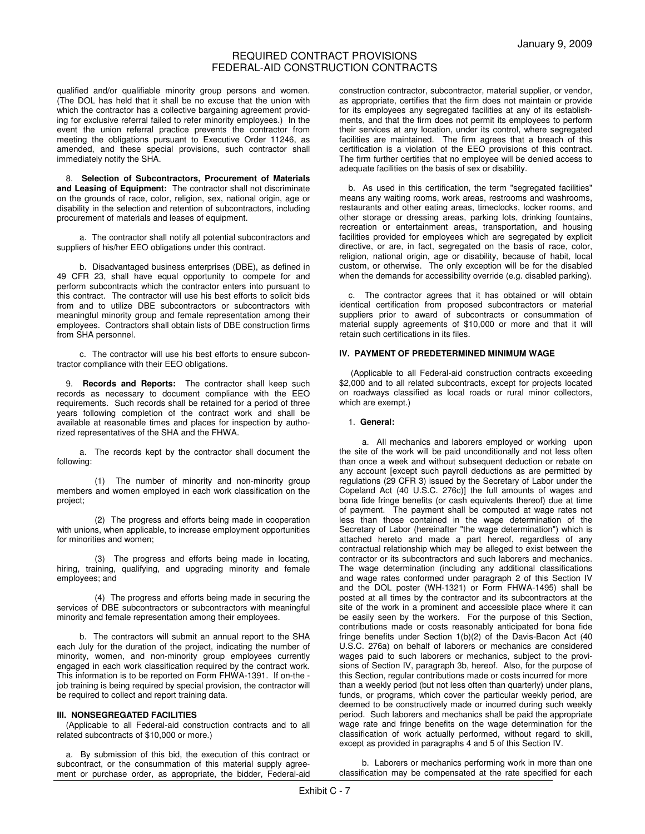qualified and/or qualifiable minority group persons and women. (The DOL has held that it shall be no excuse that the union with which the contractor has a collective bargaining agreement providing for exclusive referral failed to refer minority employees.) In the event the union referral practice prevents the contractor from meeting the obligations pursuant to Executive Order 11246, as amended, and these special provisions, such contractor shall immediately notify the SHA.

 8. **Selection of Subcontractors, Procurement of Materials and Leasing of Equipment:** The contractor shall not discriminate on the grounds of race, color, religion, sex, national origin, age or disability in the selection and retention of subcontractors, including procurement of materials and leases of equipment.

 a. The contractor shall notify all potential subcontractors and suppliers of his/her EEO obligations under this contract.

 b. Disadvantaged business enterprises (DBE), as defined in 49 CFR 23, shall have equal opportunity to compete for and perform subcontracts which the contractor enters into pursuant to this contract. The contractor will use his best efforts to solicit bids from and to utilize DBE subcontractors or subcontractors with meaningful minority group and female representation among their employees. Contractors shall obtain lists of DBE construction firms from SHA personnel.

 c. The contractor will use his best efforts to ensure subcontractor compliance with their EEO obligations.

 9. **Records and Reports:** The contractor shall keep such records as necessary to document compliance with the EEO requirements. Such records shall be retained for a period of three years following completion of the contract work and shall be available at reasonable times and places for inspection by authorized representatives of the SHA and the FHWA.

 a. The records kept by the contractor shall document the following:

 (1) The number of minority and non-minority group members and women employed in each work classification on the project;

 (2) The progress and efforts being made in cooperation with unions, when applicable, to increase employment opportunities for minorities and women;

 (3) The progress and efforts being made in locating, hiring, training, qualifying, and upgrading minority and female employees; and

 (4) The progress and efforts being made in securing the services of DBE subcontractors or subcontractors with meaningful minority and female representation among their employees.

 b. The contractors will submit an annual report to the SHA each July for the duration of the project, indicating the number of minority, women, and non-minority group employees currently engaged in each work classification required by the contract work. This information is to be reported on Form FHWA-1391. If on-the job training is being required by special provision, the contractor will be required to collect and report training data.

#### **III. NONSEGREGATED FACILITIES**

 (Applicable to all Federal-aid construction contracts and to all related subcontracts of \$10,000 or more.)

 a. By submission of this bid, the execution of this contract or subcontract, or the consummation of this material supply agreement or purchase order, as appropriate, the bidder, Federal-aid construction contractor, subcontractor, material supplier, or vendor, as appropriate, certifies that the firm does not maintain or provide for its employees any segregated facilities at any of its establishments, and that the firm does not permit its employees to perform their services at any location, under its control, where segregated facilities are maintained. The firm agrees that a breach of this certification is a violation of the EEO provisions of this contract. The firm further certifies that no employee will be denied access to adequate facilities on the basis of sex or disability.

 b. As used in this certification, the term "segregated facilities" means any waiting rooms, work areas, restrooms and washrooms, restaurants and other eating areas, timeclocks, locker rooms, and other storage or dressing areas, parking lots, drinking fountains, recreation or entertainment areas, transportation, and housing facilities provided for employees which are segregated by explicit directive, or are, in fact, segregated on the basis of race, color, religion, national origin, age or disability, because of habit, local custom, or otherwise. The only exception will be for the disabled when the demands for accessibility override (e.g. disabled parking).

 c. The contractor agrees that it has obtained or will obtain identical certification from proposed subcontractors or material suppliers prior to award of subcontracts or consummation of material supply agreements of \$10,000 or more and that it will retain such certifications in its files.

#### **IV. PAYMENT OF PREDETERMINED MINIMUM WAGE**

 (Applicable to all Federal-aid construction contracts exceeding \$2,000 and to all related subcontracts, except for projects located on roadways classified as local roads or rural minor collectors, which are exempt.)

#### 1. **General:**

 a. All mechanics and laborers employed or working upon the site of the work will be paid unconditionally and not less often than once a week and without subsequent deduction or rebate on any account [except such payroll deductions as are permitted by regulations (29 CFR 3) issued by the Secretary of Labor under the Copeland Act (40 U.S.C. 276c)] the full amounts of wages and bona fide fringe benefits (or cash equivalents thereof) due at time of payment. The payment shall be computed at wage rates not less than those contained in the wage determination of the Secretary of Labor (hereinafter "the wage determination") which is attached hereto and made a part hereof, regardless of any contractual relationship which may be alleged to exist between the contractor or its subcontractors and such laborers and mechanics. The wage determination (including any additional classifications and wage rates conformed under paragraph 2 of this Section IV and the DOL poster (WH-1321) or Form FHWA-1495) shall be posted at all times by the contractor and its subcontractors at the site of the work in a prominent and accessible place where it can be easily seen by the workers. For the purpose of this Section, contributions made or costs reasonably anticipated for bona fide fringe benefits under Section 1(b)(2) of the Davis-Bacon Act (40 U.S.C. 276a) on behalf of laborers or mechanics are considered wages paid to such laborers or mechanics, subject to the provisions of Section IV, paragraph 3b, hereof. Also, for the purpose of this Section, regular contributions made or costs incurred for more than a weekly period (but not less often than quarterly) under plans, funds, or programs, which cover the particular weekly period, are deemed to be constructively made or incurred during such weekly period. Such laborers and mechanics shall be paid the appropriate wage rate and fringe benefits on the wage determination for the classification of work actually performed, without regard to skill, except as provided in paragraphs 4 and 5 of this Section IV.

 b. Laborers or mechanics performing work in more than one classification may be compensated at the rate specified for each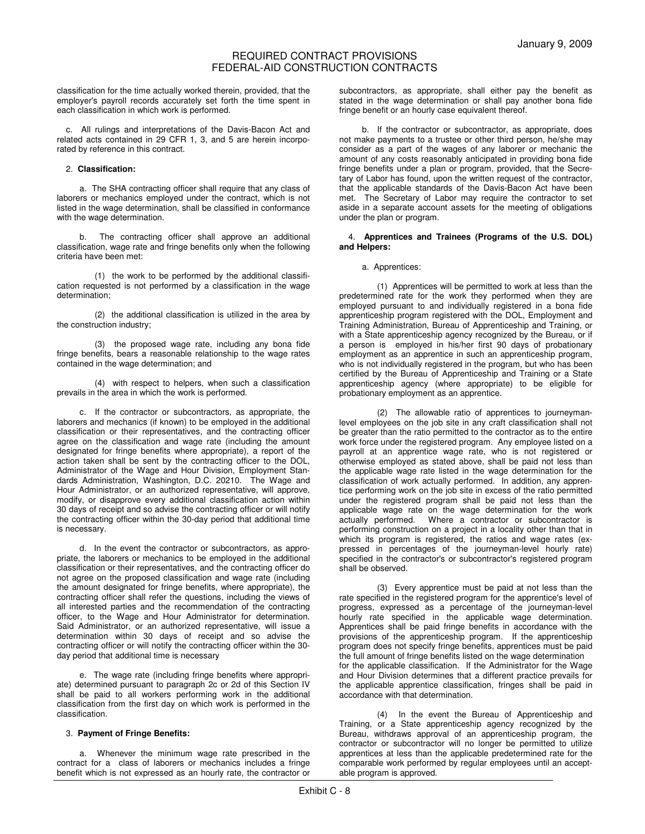classification for the time actually worked therein, provided, that the employer's payroll records accurately set forth the time spent in each classification in which work is performed.

 c. All rulings and interpretations of the Davis-Bacon Act and related acts contained in 29 CFR 1, 3, and 5 are herein incorporated by reference in this contract.

#### 2. **Classification:**

 a. The SHA contracting officer shall require that any class of laborers or mechanics employed under the contract, which is not listed in the wage determination, shall be classified in conformance with the wage determination.

 b. The contracting officer shall approve an additional classification, wage rate and fringe benefits only when the following criteria have been met:

 (1) the work to be performed by the additional classification requested is not performed by a classification in the wage determination;

 (2) the additional classification is utilized in the area by the construction industry;

 (3) the proposed wage rate, including any bona fide fringe benefits, bears a reasonable relationship to the wage rates contained in the wage determination; and

 (4) with respect to helpers, when such a classification prevails in the area in which the work is performed.

 c. If the contractor or subcontractors, as appropriate, the laborers and mechanics (if known) to be employed in the additional classification or their representatives, and the contracting officer agree on the classification and wage rate (including the amount designated for fringe benefits where appropriate), a report of the action taken shall be sent by the contracting officer to the DOL, Administrator of the Wage and Hour Division, Employment Standards Administration, Washington, D.C. 20210. The Wage and Hour Administrator, or an authorized representative, will approve, modify, or disapprove every additional classification action within 30 days of receipt and so advise the contracting officer or will notify the contracting officer within the 30-day period that additional time is necessary.

 d. In the event the contractor or subcontractors, as appropriate, the laborers or mechanics to be employed in the additional classification or their representatives, and the contracting officer do not agree on the proposed classification and wage rate (including the amount designated for fringe benefits, where appropriate), the contracting officer shall refer the questions, including the views of all interested parties and the recommendation of the contracting officer, to the Wage and Hour Administrator for determination. Said Administrator, or an authorized representative, will issue a determination within 30 days of receipt and so advise the contracting officer or will notify the contracting officer within the 30 day period that additional time is necessary

 e. The wage rate (including fringe benefits where appropriate) determined pursuant to paragraph 2c or 2d of this Section IV shall be paid to all workers performing work in the additional classification from the first day on which work is performed in the classification.

#### 3. **Payment of Fringe Benefits:**

 a. Whenever the minimum wage rate prescribed in the contract for a class of laborers or mechanics includes a fringe benefit which is not expressed as an hourly rate, the contractor or

subcontractors, as appropriate, shall either pay the benefit as stated in the wage determination or shall pay another bona fide fringe benefit or an hourly case equivalent thereof.

 b. If the contractor or subcontractor, as appropriate, does not make payments to a trustee or other third person, he/she may consider as a part of the wages of any laborer or mechanic the amount of any costs reasonably anticipated in providing bona fide fringe benefits under a plan or program, provided, that the Secretary of Labor has found, upon the written request of the contractor, that the applicable standards of the Davis-Bacon Act have been met. The Secretary of Labor may require the contractor to set aside in a separate account assets for the meeting of obligations under the plan or program.

#### 4. **Apprentices and Trainees (Programs of the U.S. DOL) and Helpers:**

a. Apprentices:

 (1) Apprentices will be permitted to work at less than the predetermined rate for the work they performed when they are employed pursuant to and individually registered in a bona fide apprenticeship program registered with the DOL, Employment and Training Administration, Bureau of Apprenticeship and Training, or with a State apprenticeship agency recognized by the Bureau, or if a person is employed in his/her first 90 days of probationary employment as an apprentice in such an apprenticeship program, who is not individually registered in the program, but who has been certified by the Bureau of Apprenticeship and Training or a State apprenticeship agency (where appropriate) to be eligible for probationary employment as an apprentice.

 (2) The allowable ratio of apprentices to journeymanlevel employees on the job site in any craft classification shall not be greater than the ratio permitted to the contractor as to the entire work force under the registered program. Any employee listed on a payroll at an apprentice wage rate, who is not registered or otherwise employed as stated above, shall be paid not less than the applicable wage rate listed in the wage determination for the classification of work actually performed. In addition, any apprentice performing work on the job site in excess of the ratio permitted under the registered program shall be paid not less than the applicable wage rate on the wage determination for the work actually performed. Where a contractor or subcontractor is performing construction on a project in a locality other than that in which its program is registered, the ratios and wage rates (expressed in percentages of the journeyman-level hourly rate) specified in the contractor's or subcontractor's registered program shall be observed.

 (3) Every apprentice must be paid at not less than the rate specified in the registered program for the apprentice's level of progress, expressed as a percentage of the journeyman-level hourly rate specified in the applicable wage determination. Apprentices shall be paid fringe benefits in accordance with the provisions of the apprenticeship program. If the apprenticeship program does not specify fringe benefits, apprentices must be paid the full amount of fringe benefits listed on the wage determination for the applicable classification. If the Administrator for the Wage and Hour Division determines that a different practice prevails for the applicable apprentice classification, fringes shall be paid in accordance with that determination.

 (4) In the event the Bureau of Apprenticeship and Training, or a State apprenticeship agency recognized by the Bureau, withdraws approval of an apprenticeship program, the contractor or subcontractor will no longer be permitted to utilize apprentices at less than the applicable predetermined rate for the comparable work performed by regular employees until an acceptable program is approved.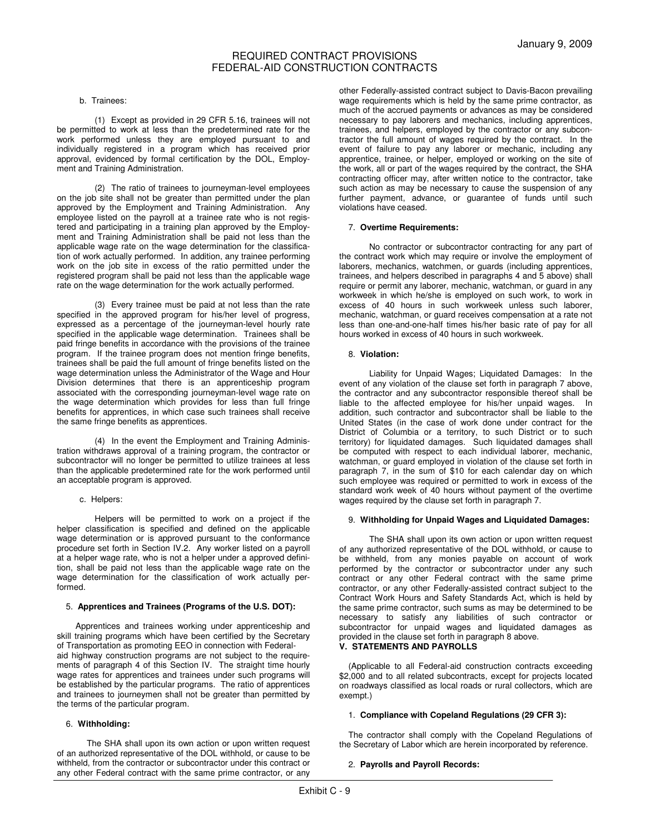#### b. Trainees:

 (1) Except as provided in 29 CFR 5.16, trainees will not be permitted to work at less than the predetermined rate for the work performed unless they are employed pursuant to and individually registered in a program which has received prior approval, evidenced by formal certification by the DOL, Employment and Training Administration.

 (2) The ratio of trainees to journeyman-level employees on the job site shall not be greater than permitted under the plan approved by the Employment and Training Administration. Any employee listed on the payroll at a trainee rate who is not registered and participating in a training plan approved by the Employment and Training Administration shall be paid not less than the applicable wage rate on the wage determination for the classification of work actually performed. In addition, any trainee performing work on the job site in excess of the ratio permitted under the registered program shall be paid not less than the applicable wage rate on the wage determination for the work actually performed.

 (3) Every trainee must be paid at not less than the rate specified in the approved program for his/her level of progress, expressed as a percentage of the journeyman-level hourly rate specified in the applicable wage determination. Trainees shall be paid fringe benefits in accordance with the provisions of the trainee program. If the trainee program does not mention fringe benefits, trainees shall be paid the full amount of fringe benefits listed on the wage determination unless the Administrator of the Wage and Hour Division determines that there is an apprenticeship program associated with the corresponding journeyman-level wage rate on the wage determination which provides for less than full fringe benefits for apprentices, in which case such trainees shall receive the same fringe benefits as apprentices.

 (4) In the event the Employment and Training Administration withdraws approval of a training program, the contractor or subcontractor will no longer be permitted to utilize trainees at less than the applicable predetermined rate for the work performed until an acceptable program is approved.

#### c. Helpers:

 Helpers will be permitted to work on a project if the helper classification is specified and defined on the applicable wage determination or is approved pursuant to the conformance procedure set forth in Section IV.2. Any worker listed on a payroll at a helper wage rate, who is not a helper under a approved definition, shall be paid not less than the applicable wage rate on the wage determination for the classification of work actually performed.

#### 5. **Apprentices and Trainees (Programs of the U.S. DOT):**

 Apprentices and trainees working under apprenticeship and skill training programs which have been certified by the Secretary of Transportation as promoting EEO in connection with Federalaid highway construction programs are not subject to the requirements of paragraph 4 of this Section IV. The straight time hourly wage rates for apprentices and trainees under such programs will be established by the particular programs. The ratio of apprentices and trainees to journeymen shall not be greater than permitted by the terms of the particular program.

#### 6. **Withholding:**

 The SHA shall upon its own action or upon written request of an authorized representative of the DOL withhold, or cause to be withheld, from the contractor or subcontractor under this contract or any other Federal contract with the same prime contractor, or any

other Federally-assisted contract subject to Davis-Bacon prevailing wage requirements which is held by the same prime contractor, as much of the accrued payments or advances as may be considered necessary to pay laborers and mechanics, including apprentices, trainees, and helpers, employed by the contractor or any subcontractor the full amount of wages required by the contract. In the event of failure to pay any laborer or mechanic, including any apprentice, trainee, or helper, employed or working on the site of the work, all or part of the wages required by the contract, the SHA contracting officer may, after written notice to the contractor, take such action as may be necessary to cause the suspension of any further payment, advance, or guarantee of funds until such violations have ceased.

#### 7. **Overtime Requirements:**

 No contractor or subcontractor contracting for any part of the contract work which may require or involve the employment of laborers, mechanics, watchmen, or guards (including apprentices, trainees, and helpers described in paragraphs 4 and 5 above) shall require or permit any laborer, mechanic, watchman, or guard in any workweek in which he/she is employed on such work, to work in excess of 40 hours in such workweek unless such laborer, mechanic, watchman, or guard receives compensation at a rate not less than one-and-one-half times his/her basic rate of pay for all hours worked in excess of 40 hours in such workweek.

#### 8. **Violation:**

 Liability for Unpaid Wages; Liquidated Damages: In the event of any violation of the clause set forth in paragraph 7 above, the contractor and any subcontractor responsible thereof shall be liable to the affected employee for his/her unpaid wages. In addition, such contractor and subcontractor shall be liable to the United States (in the case of work done under contract for the District of Columbia or a territory, to such District or to such territory) for liquidated damages. Such liquidated damages shall be computed with respect to each individual laborer, mechanic, watchman, or guard employed in violation of the clause set forth in paragraph 7, in the sum of \$10 for each calendar day on which such employee was required or permitted to work in excess of the standard work week of 40 hours without payment of the overtime wages required by the clause set forth in paragraph 7.

#### 9. **Withholding for Unpaid Wages and Liquidated Damages:**

 The SHA shall upon its own action or upon written request of any authorized representative of the DOL withhold, or cause to be withheld, from any monies payable on account of work performed by the contractor or subcontractor under any such contract or any other Federal contract with the same prime contractor, or any other Federally-assisted contract subject to the Contract Work Hours and Safety Standards Act, which is held by the same prime contractor, such sums as may be determined to be necessary to satisfy any liabilities of such contractor or subcontractor for unpaid wages and liquidated damages as provided in the clause set forth in paragraph 8 above.

#### **V. STATEMENTS AND PAYROLLS**

 (Applicable to all Federal-aid construction contracts exceeding \$2,000 and to all related subcontracts, except for projects located on roadways classified as local roads or rural collectors, which are exempt.)

#### 1. **Compliance with Copeland Regulations (29 CFR 3):**

 The contractor shall comply with the Copeland Regulations of the Secretary of Labor which are herein incorporated by reference.

#### 2. **Payrolls and Payroll Records:**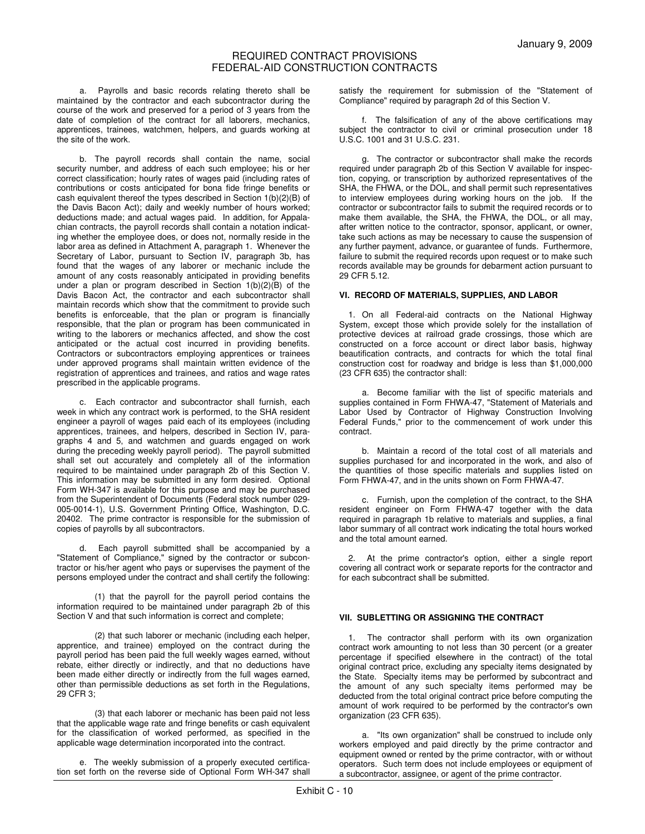a. Payrolls and basic records relating thereto shall be maintained by the contractor and each subcontractor during the course of the work and preserved for a period of 3 years from the date of completion of the contract for all laborers, mechanics, apprentices, trainees, watchmen, helpers, and guards working at the site of the work.

 b. The payroll records shall contain the name, social security number, and address of each such employee; his or her correct classification; hourly rates of wages paid (including rates of contributions or costs anticipated for bona fide fringe benefits or cash equivalent thereof the types described in Section 1(b)(2)(B) of the Davis Bacon Act); daily and weekly number of hours worked; deductions made; and actual wages paid. In addition, for Appalachian contracts, the payroll records shall contain a notation indicating whether the employee does, or does not, normally reside in the labor area as defined in Attachment A, paragraph 1. Whenever the Secretary of Labor, pursuant to Section IV, paragraph 3b, has found that the wages of any laborer or mechanic include the amount of any costs reasonably anticipated in providing benefits under a plan or program described in Section  $1(b)(2)(B)$  of the Davis Bacon Act, the contractor and each subcontractor shall maintain records which show that the commitment to provide such benefits is enforceable, that the plan or program is financially responsible, that the plan or program has been communicated in writing to the laborers or mechanics affected, and show the cost anticipated or the actual cost incurred in providing benefits. Contractors or subcontractors employing apprentices or trainees under approved programs shall maintain written evidence of the registration of apprentices and trainees, and ratios and wage rates prescribed in the applicable programs.

 c. Each contractor and subcontractor shall furnish, each week in which any contract work is performed, to the SHA resident engineer a payroll of wages paid each of its employees (including apprentices, trainees, and helpers, described in Section IV, paragraphs 4 and 5, and watchmen and guards engaged on work during the preceding weekly payroll period). The payroll submitted shall set out accurately and completely all of the information required to be maintained under paragraph 2b of this Section V. This information may be submitted in any form desired. Optional Form WH-347 is available for this purpose and may be purchased from the Superintendent of Documents (Federal stock number 029- 005-0014-1), U.S. Government Printing Office, Washington, D.C. 20402. The prime contractor is responsible for the submission of copies of payrolls by all subcontractors.

 d. Each payroll submitted shall be accompanied by a "Statement of Compliance," signed by the contractor or subcontractor or his/her agent who pays or supervises the payment of the persons employed under the contract and shall certify the following:

 (1) that the payroll for the payroll period contains the information required to be maintained under paragraph 2b of this Section V and that such information is correct and complete;

 (2) that such laborer or mechanic (including each helper, apprentice, and trainee) employed on the contract during the payroll period has been paid the full weekly wages earned, without rebate, either directly or indirectly, and that no deductions have been made either directly or indirectly from the full wages earned, other than permissible deductions as set forth in the Regulations, 29 CFR 3;

 (3) that each laborer or mechanic has been paid not less that the applicable wage rate and fringe benefits or cash equivalent for the classification of worked performed, as specified in the applicable wage determination incorporated into the contract.

 e. The weekly submission of a properly executed certification set forth on the reverse side of Optional Form WH-347 shall satisfy the requirement for submission of the "Statement of Compliance" required by paragraph 2d of this Section V.

 f. The falsification of any of the above certifications may subject the contractor to civil or criminal prosecution under 18 U.S.C. 1001 and 31 U.S.C. 231.

 g. The contractor or subcontractor shall make the records required under paragraph 2b of this Section V available for inspection, copying, or transcription by authorized representatives of the SHA, the FHWA, or the DOL, and shall permit such representatives to interview employees during working hours on the job. If the contractor or subcontractor fails to submit the required records or to make them available, the SHA, the FHWA, the DOL, or all may, after written notice to the contractor, sponsor, applicant, or owner, take such actions as may be necessary to cause the suspension of any further payment, advance, or guarantee of funds. Furthermore, failure to submit the required records upon request or to make such records available may be grounds for debarment action pursuant to 29 CFR 5.12.

#### **VI. RECORD OF MATERIALS, SUPPLIES, AND LABOR**

 1. On all Federal-aid contracts on the National Highway System, except those which provide solely for the installation of protective devices at railroad grade crossings, those which are constructed on a force account or direct labor basis, highway beautification contracts, and contracts for which the total final construction cost for roadway and bridge is less than \$1,000,000 (23 CFR 635) the contractor shall:

 a. Become familiar with the list of specific materials and supplies contained in Form FHWA-47, "Statement of Materials and Labor Used by Contractor of Highway Construction Involving Federal Funds," prior to the commencement of work under this contract.

 b. Maintain a record of the total cost of all materials and supplies purchased for and incorporated in the work, and also of the quantities of those specific materials and supplies listed on Form FHWA-47, and in the units shown on Form FHWA-47.

 c. Furnish, upon the completion of the contract, to the SHA resident engineer on Form FHWA-47 together with the data required in paragraph 1b relative to materials and supplies, a final labor summary of all contract work indicating the total hours worked and the total amount earned.

 2. At the prime contractor's option, either a single report covering all contract work or separate reports for the contractor and for each subcontract shall be submitted.

#### **VII. SUBLETTING OR ASSIGNING THE CONTRACT**

 1. The contractor shall perform with its own organization contract work amounting to not less than 30 percent (or a greater percentage if specified elsewhere in the contract) of the total original contract price, excluding any specialty items designated by the State. Specialty items may be performed by subcontract and the amount of any such specialty items performed may be deducted from the total original contract price before computing the amount of work required to be performed by the contractor's own organization (23 CFR 635).

 a. "Its own organization" shall be construed to include only workers employed and paid directly by the prime contractor and equipment owned or rented by the prime contractor, with or without operators. Such term does not include employees or equipment of a subcontractor, assignee, or agent of the prime contractor.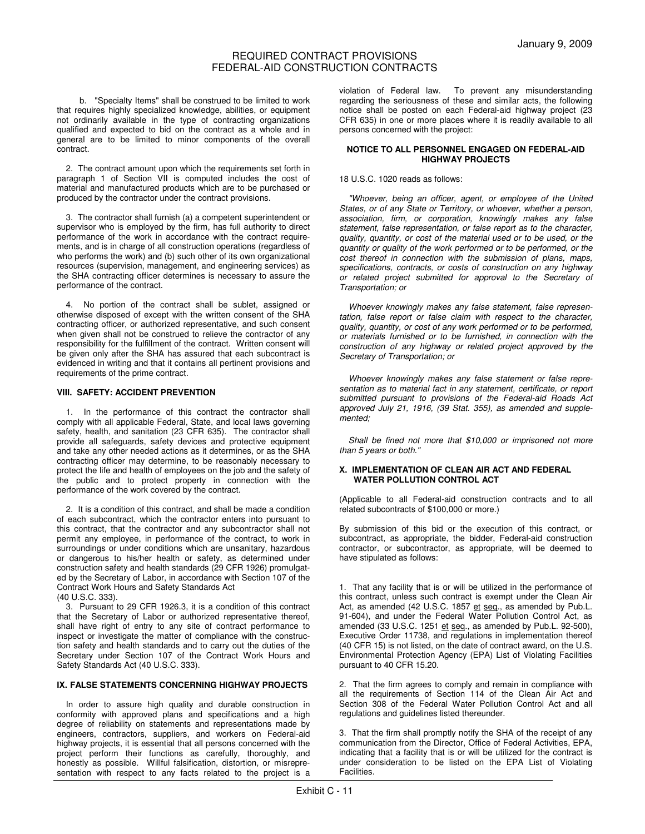b. "Specialty Items" shall be construed to be limited to work that requires highly specialized knowledge, abilities, or equipment not ordinarily available in the type of contracting organizations qualified and expected to bid on the contract as a whole and in general are to be limited to minor components of the overall contract.

 2. The contract amount upon which the requirements set forth in paragraph 1 of Section VII is computed includes the cost of material and manufactured products which are to be purchased or produced by the contractor under the contract provisions.

 3. The contractor shall furnish (a) a competent superintendent or supervisor who is employed by the firm, has full authority to direct performance of the work in accordance with the contract requirements, and is in charge of all construction operations (regardless of who performs the work) and (b) such other of its own organizational resources (supervision, management, and engineering services) as the SHA contracting officer determines is necessary to assure the performance of the contract.

 4. No portion of the contract shall be sublet, assigned or otherwise disposed of except with the written consent of the SHA contracting officer, or authorized representative, and such consent when given shall not be construed to relieve the contractor of any responsibility for the fulfillment of the contract. Written consent will be given only after the SHA has assured that each subcontract is evidenced in writing and that it contains all pertinent provisions and requirements of the prime contract.

#### **VIII. SAFETY: ACCIDENT PREVENTION**

 1. In the performance of this contract the contractor shall comply with all applicable Federal, State, and local laws governing safety, health, and sanitation (23 CFR 635). The contractor shall provide all safeguards, safety devices and protective equipment and take any other needed actions as it determines, or as the SHA contracting officer may determine, to be reasonably necessary to protect the life and health of employees on the job and the safety of the public and to protect property in connection with the performance of the work covered by the contract.

 2. It is a condition of this contract, and shall be made a condition of each subcontract, which the contractor enters into pursuant to this contract, that the contractor and any subcontractor shall not permit any employee, in performance of the contract, to work in surroundings or under conditions which are unsanitary, hazardous or dangerous to his/her health or safety, as determined under construction safety and health standards (29 CFR 1926) promulgated by the Secretary of Labor, in accordance with Section 107 of the Contract Work Hours and Safety Standards Act

(40 U.S.C. 333).

 3. Pursuant to 29 CFR 1926.3, it is a condition of this contract that the Secretary of Labor or authorized representative thereof, shall have right of entry to any site of contract performance to inspect or investigate the matter of compliance with the construction safety and health standards and to carry out the duties of the Secretary under Section 107 of the Contract Work Hours and Safety Standards Act (40 U.S.C. 333).

#### **IX. FALSE STATEMENTS CONCERNING HIGHWAY PROJECTS**

 In order to assure high quality and durable construction in conformity with approved plans and specifications and a high degree of reliability on statements and representations made by engineers, contractors, suppliers, and workers on Federal-aid highway projects, it is essential that all persons concerned with the project perform their functions as carefully, thoroughly, and honestly as possible. Willful falsification, distortion, or misrepresentation with respect to any facts related to the project is a

violation of Federal law. To prevent any misunderstanding regarding the seriousness of these and similar acts, the following notice shall be posted on each Federal-aid highway project (23 CFR 635) in one or more places where it is readily available to all persons concerned with the project:

#### **NOTICE TO ALL PERSONNEL ENGAGED ON FEDERAL-AID HIGHWAY PROJECTS**

#### 18 U.S.C. 1020 reads as follows:

"Whoever, being an officer, agent, or employee of the United States, or of any State or Territory, or whoever, whether a person, association, firm, or corporation, knowingly makes any false statement, false representation, or false report as to the character, quality, quantity, or cost of the material used or to be used, or the quantity or quality of the work performed or to be performed, or the cost thereof in connection with the submission of plans, maps, specifications, contracts, or costs of construction on any highway or related project submitted for approval to the Secretary of Transportation; or

 Whoever knowingly makes any false statement, false representation, false report or false claim with respect to the character, quality, quantity, or cost of any work performed or to be performed, or materials furnished or to be furnished, in connection with the construction of any highway or related project approved by the Secretary of Transportation; or

 Whoever knowingly makes any false statement or false representation as to material fact in any statement, certificate, or report submitted pursuant to provisions of the Federal-aid Roads Act approved July 21, 1916, (39 Stat. 355), as amended and supplemented;

 Shall be fined not more that \$10,000 or imprisoned not more than 5 years or both."

#### **X. IMPLEMENTATION OF CLEAN AIR ACT AND FEDERAL WATER POLLUTION CONTROL ACT**

(Applicable to all Federal-aid construction contracts and to all related subcontracts of \$100,000 or more.)

By submission of this bid or the execution of this contract, or subcontract, as appropriate, the bidder, Federal-aid construction contractor, or subcontractor, as appropriate, will be deemed to have stipulated as follows:

1. That any facility that is or will be utilized in the performance of this contract, unless such contract is exempt under the Clean Air Act, as amended (42 U.S.C. 1857 et seq., as amended by Pub.L. 91-604), and under the Federal Water Pollution Control Act, as amended (33 U.S.C. 1251 et seq., as amended by Pub.L. 92-500), Executive Order 11738, and regulations in implementation thereof (40 CFR 15) is not listed, on the date of contract award, on the U.S. Environmental Protection Agency (EPA) List of Violating Facilities pursuant to 40 CFR 15.20.

2. That the firm agrees to comply and remain in compliance with all the requirements of Section 114 of the Clean Air Act and Section 308 of the Federal Water Pollution Control Act and all regulations and guidelines listed thereunder.

3. That the firm shall promptly notify the SHA of the receipt of any communication from the Director, Office of Federal Activities, EPA, indicating that a facility that is or will be utilized for the contract is under consideration to be listed on the EPA List of Violating Facilities.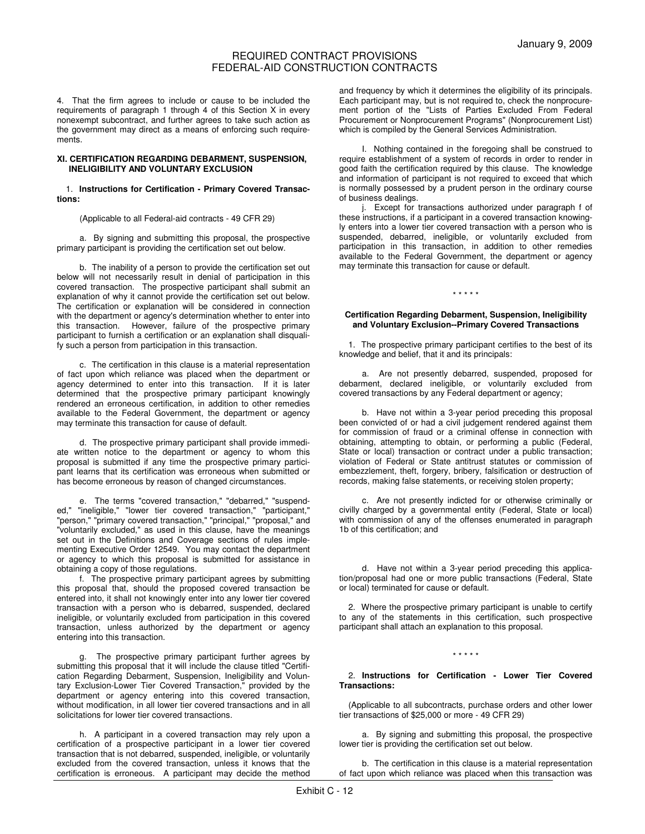4. That the firm agrees to include or cause to be included the requirements of paragraph 1 through 4 of this Section X in every nonexempt subcontract, and further agrees to take such action as the government may direct as a means of enforcing such requirements.

#### **XI. CERTIFICATION REGARDING DEBARMENT, SUSPENSION, INELIGIBILITY AND VOLUNTARY EXCLUSION**

#### 1. **Instructions for Certification - Primary Covered Transactions:**

(Applicable to all Federal-aid contracts - 49 CFR 29)

 a. By signing and submitting this proposal, the prospective primary participant is providing the certification set out below.

 b. The inability of a person to provide the certification set out below will not necessarily result in denial of participation in this covered transaction. The prospective participant shall submit an explanation of why it cannot provide the certification set out below. The certification or explanation will be considered in connection with the department or agency's determination whether to enter into this transaction. However, failure of the prospective primary participant to furnish a certification or an explanation shall disqualify such a person from participation in this transaction.

 c. The certification in this clause is a material representation of fact upon which reliance was placed when the department or agency determined to enter into this transaction. If it is later determined that the prospective primary participant knowingly rendered an erroneous certification, in addition to other remedies available to the Federal Government, the department or agency may terminate this transaction for cause of default.

 d. The prospective primary participant shall provide immediate written notice to the department or agency to whom this proposal is submitted if any time the prospective primary participant learns that its certification was erroneous when submitted or has become erroneous by reason of changed circumstances.

 e. The terms "covered transaction," "debarred," "suspended," "ineligible," "lower tier covered transaction," "participant," "person," "primary covered transaction," "principal," "proposal," and "voluntarily excluded," as used in this clause, have the meanings set out in the Definitions and Coverage sections of rules implementing Executive Order 12549. You may contact the department or agency to which this proposal is submitted for assistance in obtaining a copy of those regulations.

 f. The prospective primary participant agrees by submitting this proposal that, should the proposed covered transaction be entered into, it shall not knowingly enter into any lower tier covered transaction with a person who is debarred, suspended, declared ineligible, or voluntarily excluded from participation in this covered transaction, unless authorized by the department or agency entering into this transaction.

 g. The prospective primary participant further agrees by submitting this proposal that it will include the clause titled "Certification Regarding Debarment, Suspension, Ineligibility and Voluntary Exclusion-Lower Tier Covered Transaction," provided by the department or agency entering into this covered transaction, without modification, in all lower tier covered transactions and in all solicitations for lower tier covered transactions.

 h. A participant in a covered transaction may rely upon a certification of a prospective participant in a lower tier covered transaction that is not debarred, suspended, ineligible, or voluntarily excluded from the covered transaction, unless it knows that the certification is erroneous. A participant may decide the method

and frequency by which it determines the eligibility of its principals. Each participant may, but is not required to, check the nonprocurement portion of the "Lists of Parties Excluded From Federal Procurement or Nonprocurement Programs" (Nonprocurement List) which is compiled by the General Services Administration.

 I. Nothing contained in the foregoing shall be construed to require establishment of a system of records in order to render in good faith the certification required by this clause. The knowledge and information of participant is not required to exceed that which is normally possessed by a prudent person in the ordinary course of business dealings.

 j. Except for transactions authorized under paragraph f of these instructions, if a participant in a covered transaction knowingly enters into a lower tier covered transaction with a person who is suspended, debarred, ineligible, or voluntarily excluded from participation in this transaction, in addition to other remedies available to the Federal Government, the department or agency may terminate this transaction for cause or default.

#### **Certification Regarding Debarment, Suspension, Ineligibility and Voluntary Exclusion--Primary Covered Transactions**

\* \* \* \* \*

 1. The prospective primary participant certifies to the best of its knowledge and belief, that it and its principals:

 a. Are not presently debarred, suspended, proposed for debarment, declared ineligible, or voluntarily excluded from covered transactions by any Federal department or agency;

 b. Have not within a 3-year period preceding this proposal been convicted of or had a civil judgement rendered against them for commission of fraud or a criminal offense in connection with obtaining, attempting to obtain, or performing a public (Federal, State or local) transaction or contract under a public transaction; violation of Federal or State antitrust statutes or commission of embezzlement, theft, forgery, bribery, falsification or destruction of records, making false statements, or receiving stolen property;

 c. Are not presently indicted for or otherwise criminally or civilly charged by a governmental entity (Federal, State or local) with commission of any of the offenses enumerated in paragraph 1b of this certification; and

 d. Have not within a 3-year period preceding this application/proposal had one or more public transactions (Federal, State or local) terminated for cause or default.

 2. Where the prospective primary participant is unable to certify to any of the statements in this certification, such prospective participant shall attach an explanation to this proposal.

#### \* \* \* \* \*

 2. **Instructions for Certification - Lower Tier Covered Transactions:**

 (Applicable to all subcontracts, purchase orders and other lower tier transactions of \$25,000 or more - 49 CFR 29)

 a. By signing and submitting this proposal, the prospective lower tier is providing the certification set out below.

 b. The certification in this clause is a material representation of fact upon which reliance was placed when this transaction was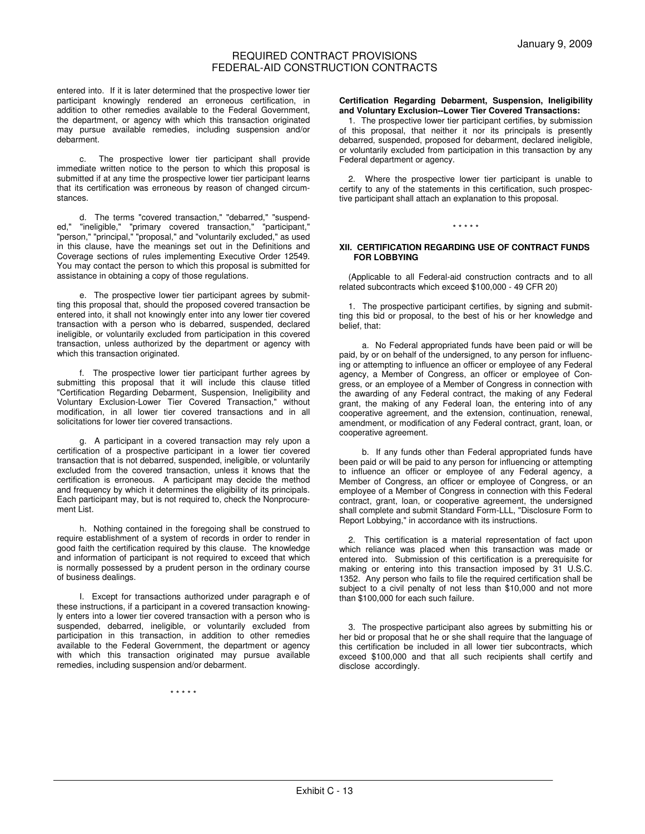entered into. If it is later determined that the prospective lower tier participant knowingly rendered an erroneous certification, in addition to other remedies available to the Federal Government, the department, or agency with which this transaction originated may pursue available remedies, including suspension and/or debarment.

 c. The prospective lower tier participant shall provide immediate written notice to the person to which this proposal is submitted if at any time the prospective lower tier participant learns that its certification was erroneous by reason of changed circumstances.

d. The terms "covered transaction," "debarred," "suspend-<br>ed." "ineligible." "primary covered transaction." "participant." "ineligible," "primary covered transaction," "participant," "person," "principal," "proposal," and "voluntarily excluded," as used in this clause, have the meanings set out in the Definitions and Coverage sections of rules implementing Executive Order 12549. You may contact the person to which this proposal is submitted for assistance in obtaining a copy of those regulations.

 e. The prospective lower tier participant agrees by submitting this proposal that, should the proposed covered transaction be entered into, it shall not knowingly enter into any lower tier covered transaction with a person who is debarred, suspended, declared ineligible, or voluntarily excluded from participation in this covered transaction, unless authorized by the department or agency with which this transaction originated.

 f. The prospective lower tier participant further agrees by submitting this proposal that it will include this clause titled "Certification Regarding Debarment, Suspension, Ineligibility and Voluntary Exclusion-Lower Tier Covered Transaction," without modification, in all lower tier covered transactions and in all solicitations for lower tier covered transactions.

 g. A participant in a covered transaction may rely upon a certification of a prospective participant in a lower tier covered transaction that is not debarred, suspended, ineligible, or voluntarily excluded from the covered transaction, unless it knows that the certification is erroneous. A participant may decide the method and frequency by which it determines the eligibility of its principals. Each participant may, but is not required to, check the Nonprocurement List.

 h. Nothing contained in the foregoing shall be construed to require establishment of a system of records in order to render in good faith the certification required by this clause. The knowledge and information of participant is not required to exceed that which is normally possessed by a prudent person in the ordinary course of business dealings.

 I. Except for transactions authorized under paragraph e of these instructions, if a participant in a covered transaction knowingly enters into a lower tier covered transaction with a person who is suspended, debarred, ineligible, or voluntarily excluded from participation in this transaction, in addition to other remedies available to the Federal Government, the department or agency with which this transaction originated may pursue available remedies, including suspension and/or debarment.

#### **Certification Regarding Debarment, Suspension, Ineligibility and Voluntary Exclusion--Lower Tier Covered Transactions:**

 1. The prospective lower tier participant certifies, by submission of this proposal, that neither it nor its principals is presently debarred, suspended, proposed for debarment, declared ineligible, or voluntarily excluded from participation in this transaction by any Federal department or agency.

 2. Where the prospective lower tier participant is unable to certify to any of the statements in this certification, such prospective participant shall attach an explanation to this proposal.

#### \* \* \* \* \*

#### **XII. CERTIFICATION REGARDING USE OF CONTRACT FUNDS FOR LOBBYING**

 (Applicable to all Federal-aid construction contracts and to all related subcontracts which exceed \$100,000 - 49 CFR 20)

 1. The prospective participant certifies, by signing and submitting this bid or proposal, to the best of his or her knowledge and belief, that:

 a. No Federal appropriated funds have been paid or will be paid, by or on behalf of the undersigned, to any person for influencing or attempting to influence an officer or employee of any Federal agency, a Member of Congress, an officer or employee of Congress, or an employee of a Member of Congress in connection with the awarding of any Federal contract, the making of any Federal grant, the making of any Federal loan, the entering into of any cooperative agreement, and the extension, continuation, renewal, amendment, or modification of any Federal contract, grant, loan, or cooperative agreement.

 b. If any funds other than Federal appropriated funds have been paid or will be paid to any person for influencing or attempting to influence an officer or employee of any Federal agency, a Member of Congress, an officer or employee of Congress, or an employee of a Member of Congress in connection with this Federal contract, grant, loan, or cooperative agreement, the undersigned shall complete and submit Standard Form-LLL, "Disclosure Form to Report Lobbying," in accordance with its instructions.

 2. This certification is a material representation of fact upon which reliance was placed when this transaction was made or entered into. Submission of this certification is a prerequisite for making or entering into this transaction imposed by 31 U.S.C. 1352. Any person who fails to file the required certification shall be subject to a civil penalty of not less than \$10,000 and not more than \$100,000 for each such failure.

 3. The prospective participant also agrees by submitting his or her bid or proposal that he or she shall require that the language of this certification be included in all lower tier subcontracts, which exceed \$100,000 and that all such recipients shall certify and disclose accordingly.

\* \* \* \* \*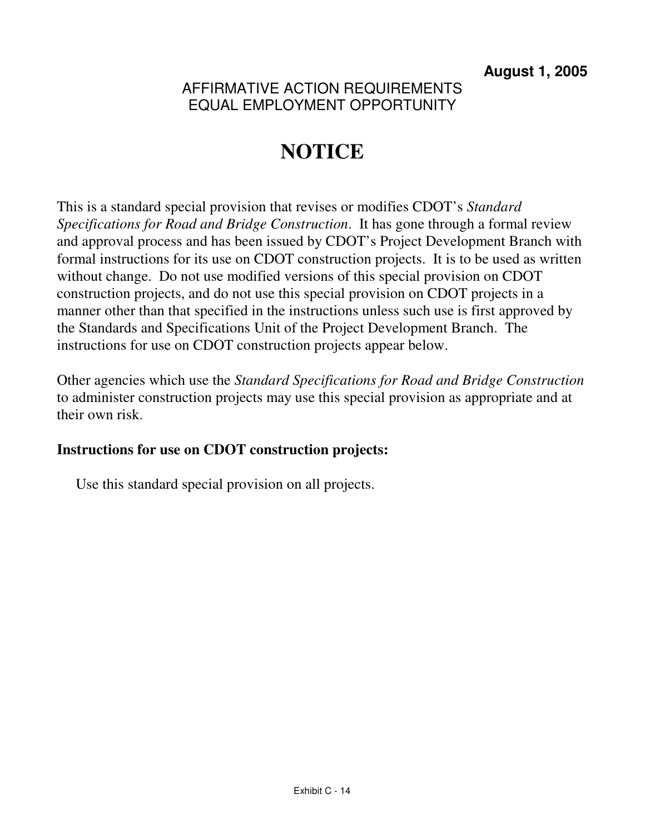# **NOTICE**

This is a standard special provision that revises or modifies CDOT's *Standard Specifications for Road and Bridge Construction*. It has gone through a formal review and approval process and has been issued by CDOT's Project Development Branch with formal instructions for its use on CDOT construction projects. It is to be used as written without change. Do not use modified versions of this special provision on CDOT construction projects, and do not use this special provision on CDOT projects in a manner other than that specified in the instructions unless such use is first approved by the Standards and Specifications Unit of the Project Development Branch. The instructions for use on CDOT construction projects appear below.

Other agencies which use the *Standard Specifications for Road and Bridge Construction* to administer construction projects may use this special provision as appropriate and at their own risk.

## **Instructions for use on CDOT construction projects:**

Use this standard special provision on all projects.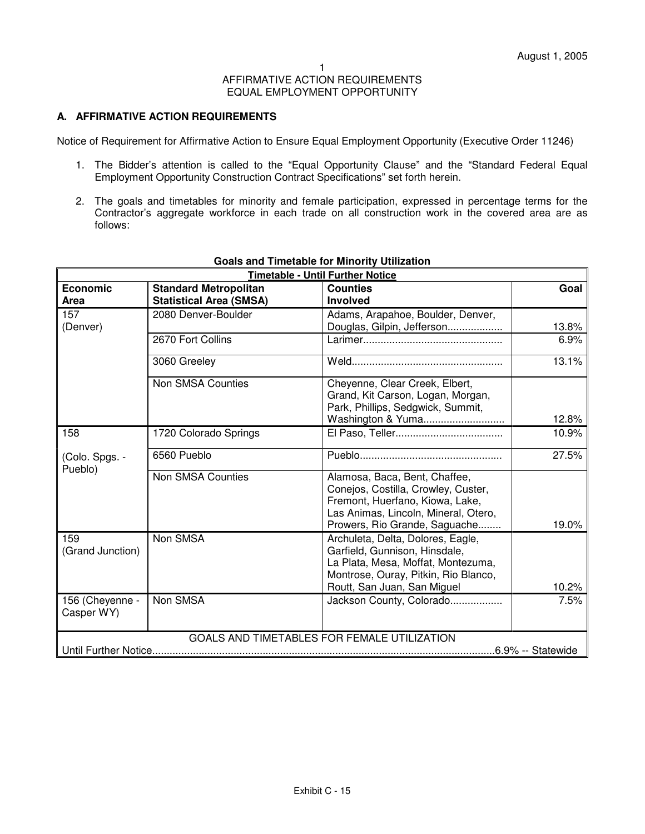### **A. AFFIRMATIVE ACTION REQUIREMENTS**

Notice of Requirement for Affirmative Action to Ensure Equal Employment Opportunity (Executive Order 11246)

- 1. The Bidder's attention is called to the "Equal Opportunity Clause" and the "Standard Federal Equal Employment Opportunity Construction Contract Specifications" set forth herein.
- 2. The goals and timetables for minority and female participation, expressed in percentage terms for the Contractor's aggregate workforce in each trade on all construction work in the covered area are as follows:

| <b>Timetable - Until Further Notice</b> |                                |                                                                                                                                                                                  |       |  |
|-----------------------------------------|--------------------------------|----------------------------------------------------------------------------------------------------------------------------------------------------------------------------------|-------|--|
| <b>Economic</b>                         | <b>Standard Metropolitan</b>   | <b>Counties</b>                                                                                                                                                                  | Goal  |  |
| Area                                    | <b>Statistical Area (SMSA)</b> | <b>Involved</b>                                                                                                                                                                  |       |  |
| 157                                     | 2080 Denver-Boulder            | Adams, Arapahoe, Boulder, Denver,                                                                                                                                                |       |  |
| (Denver)                                |                                | Douglas, Gilpin, Jefferson                                                                                                                                                       | 13.8% |  |
|                                         | 2670 Fort Collins              |                                                                                                                                                                                  | 6.9%  |  |
|                                         | 3060 Greeley                   |                                                                                                                                                                                  | 13.1% |  |
|                                         | Non SMSA Counties              | Cheyenne, Clear Creek, Elbert,                                                                                                                                                   |       |  |
|                                         |                                | Grand, Kit Carson, Logan, Morgan,                                                                                                                                                |       |  |
|                                         |                                | Park, Phillips, Sedgwick, Summit,                                                                                                                                                |       |  |
|                                         |                                |                                                                                                                                                                                  | 12.8% |  |
| 158                                     | 1720 Colorado Springs          |                                                                                                                                                                                  | 10.9% |  |
| (Colo. Spgs. -                          | 6560 Pueblo                    |                                                                                                                                                                                  | 27.5% |  |
| Pueblo)                                 | Non SMSA Counties              | Alamosa, Baca, Bent, Chaffee,<br>Conejos, Costilla, Crowley, Custer,<br>Fremont, Huerfano, Kiowa, Lake,<br>Las Animas, Lincoln, Mineral, Otero,<br>Prowers, Rio Grande, Saguache | 19.0% |  |
| 159<br>(Grand Junction)                 | Non SMSA                       | Archuleta, Delta, Dolores, Eagle,<br>Garfield, Gunnison, Hinsdale,<br>La Plata, Mesa, Moffat, Montezuma,<br>Montrose, Ouray, Pitkin, Rio Blanco,<br>Routt, San Juan, San Miguel  | 10.2% |  |
| 156 (Cheyenne -<br>Casper WY)           | Non SMSA                       | Jackson County, Colorado                                                                                                                                                         | 7.5%  |  |
|                                         |                                | <b>GOALS AND TIMETABLES FOR FEMALE UTILIZATION</b>                                                                                                                               |       |  |

## **Goals and Timetable for Minority Utilization**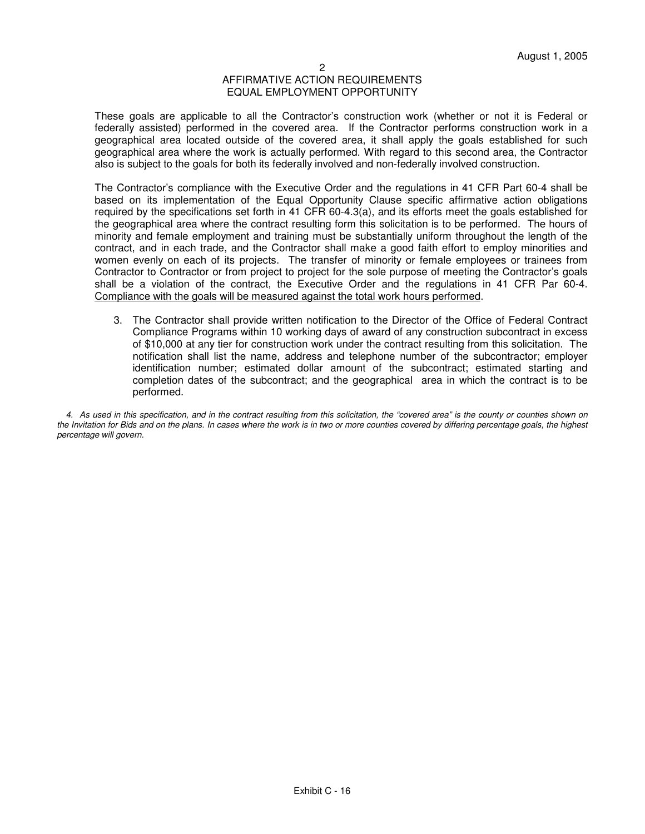These goals are applicable to all the Contractor's construction work (whether or not it is Federal or federally assisted) performed in the covered area. If the Contractor performs construction work in a geographical area located outside of the covered area, it shall apply the goals established for such geographical area where the work is actually performed. With regard to this second area, the Contractor also is subject to the goals for both its federally involved and non-federally involved construction.

 The Contractor's compliance with the Executive Order and the regulations in 41 CFR Part 60-4 shall be based on its implementation of the Equal Opportunity Clause specific affirmative action obligations required by the specifications set forth in 41 CFR 60-4.3(a), and its efforts meet the goals established for the geographical area where the contract resulting form this solicitation is to be performed. The hours of minority and female employment and training must be substantially uniform throughout the length of the contract, and in each trade, and the Contractor shall make a good faith effort to employ minorities and women evenly on each of its projects. The transfer of minority or female employees or trainees from Contractor to Contractor or from project to project for the sole purpose of meeting the Contractor's goals shall be a violation of the contract, the Executive Order and the regulations in 41 CFR Par 60-4. Compliance with the goals will be measured against the total work hours performed.

 3. The Contractor shall provide written notification to the Director of the Office of Federal Contract Compliance Programs within 10 working days of award of any construction subcontract in excess of \$10,000 at any tier for construction work under the contract resulting from this solicitation. The notification shall list the name, address and telephone number of the subcontractor; employer identification number; estimated dollar amount of the subcontract; estimated starting and completion dates of the subcontract; and the geographical area in which the contract is to be performed.

 4. As used in this specification, and in the contract resulting from this solicitation, the "covered area" is the county or counties shown on the Invitation for Bids and on the plans. In cases where the work is in two or more counties covered by differing percentage goals, the highest percentage will govern.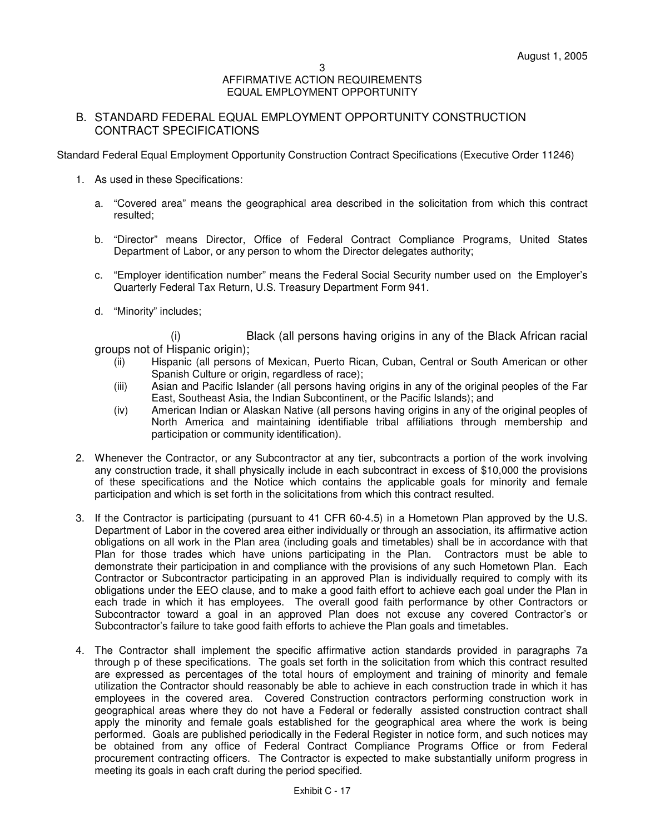## B. STANDARD FEDERAL EQUAL EMPLOYMENT OPPORTUNITY CONSTRUCTION CONTRACT SPECIFICATIONS

Standard Federal Equal Employment Opportunity Construction Contract Specifications (Executive Order 11246)

- 1. As used in these Specifications:
	- a. "Covered area" means the geographical area described in the solicitation from which this contract resulted;
	- b. "Director" means Director, Office of Federal Contract Compliance Programs, United States Department of Labor, or any person to whom the Director delegates authority;
	- c. "Employer identification number" means the Federal Social Security number used on the Employer's Quarterly Federal Tax Return, U.S. Treasury Department Form 941.
	- d. "Minority" includes;

 (i) Black (all persons having origins in any of the Black African racial groups not of Hispanic origin);

- (ii) Hispanic (all persons of Mexican, Puerto Rican, Cuban, Central or South American or other Spanish Culture or origin, regardless of race);
- (iii) Asian and Pacific Islander (all persons having origins in any of the original peoples of the Far East, Southeast Asia, the Indian Subcontinent, or the Pacific Islands); and
- (iv) American Indian or Alaskan Native (all persons having origins in any of the original peoples of North America and maintaining identifiable tribal affiliations through membership and participation or community identification).
- 2. Whenever the Contractor, or any Subcontractor at any tier, subcontracts a portion of the work involving any construction trade, it shall physically include in each subcontract in excess of \$10,000 the provisions of these specifications and the Notice which contains the applicable goals for minority and female participation and which is set forth in the solicitations from which this contract resulted.
- 3. If the Contractor is participating (pursuant to 41 CFR 60-4.5) in a Hometown Plan approved by the U.S. Department of Labor in the covered area either individually or through an association, its affirmative action obligations on all work in the Plan area (including goals and timetables) shall be in accordance with that Plan for those trades which have unions participating in the Plan. Contractors must be able to demonstrate their participation in and compliance with the provisions of any such Hometown Plan. Each Contractor or Subcontractor participating in an approved Plan is individually required to comply with its obligations under the EEO clause, and to make a good faith effort to achieve each goal under the Plan in each trade in which it has employees. The overall good faith performance by other Contractors or Subcontractor toward a goal in an approved Plan does not excuse any covered Contractor's or Subcontractor's failure to take good faith efforts to achieve the Plan goals and timetables.
- 4. The Contractor shall implement the specific affirmative action standards provided in paragraphs 7a through p of these specifications. The goals set forth in the solicitation from which this contract resulted are expressed as percentages of the total hours of employment and training of minority and female utilization the Contractor should reasonably be able to achieve in each construction trade in which it has employees in the covered area. Covered Construction contractors performing construction work in geographical areas where they do not have a Federal or federally assisted construction contract shall apply the minority and female goals established for the geographical area where the work is being performed. Goals are published periodically in the Federal Register in notice form, and such notices may be obtained from any office of Federal Contract Compliance Programs Office or from Federal procurement contracting officers. The Contractor is expected to make substantially uniform progress in meeting its goals in each craft during the period specified.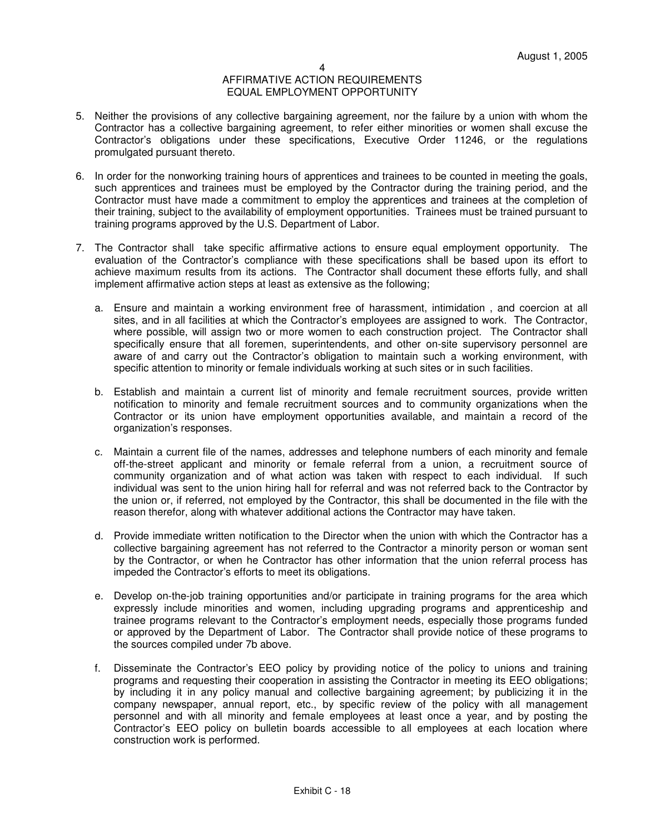- 5. Neither the provisions of any collective bargaining agreement, nor the failure by a union with whom the Contractor has a collective bargaining agreement, to refer either minorities or women shall excuse the Contractor's obligations under these specifications, Executive Order 11246, or the regulations promulgated pursuant thereto.
- 6. In order for the nonworking training hours of apprentices and trainees to be counted in meeting the goals, such apprentices and trainees must be employed by the Contractor during the training period, and the Contractor must have made a commitment to employ the apprentices and trainees at the completion of their training, subject to the availability of employment opportunities. Trainees must be trained pursuant to training programs approved by the U.S. Department of Labor.
- 7. The Contractor shall take specific affirmative actions to ensure equal employment opportunity. The evaluation of the Contractor's compliance with these specifications shall be based upon its effort to achieve maximum results from its actions. The Contractor shall document these efforts fully, and shall implement affirmative action steps at least as extensive as the following;
	- a. Ensure and maintain a working environment free of harassment, intimidation , and coercion at all sites, and in all facilities at which the Contractor's employees are assigned to work. The Contractor, where possible, will assign two or more women to each construction project. The Contractor shall specifically ensure that all foremen, superintendents, and other on-site supervisory personnel are aware of and carry out the Contractor's obligation to maintain such a working environment, with specific attention to minority or female individuals working at such sites or in such facilities.
	- b. Establish and maintain a current list of minority and female recruitment sources, provide written notification to minority and female recruitment sources and to community organizations when the Contractor or its union have employment opportunities available, and maintain a record of the organization's responses.
	- c. Maintain a current file of the names, addresses and telephone numbers of each minority and female off-the-street applicant and minority or female referral from a union, a recruitment source of community organization and of what action was taken with respect to each individual. If such individual was sent to the union hiring hall for referral and was not referred back to the Contractor by the union or, if referred, not employed by the Contractor, this shall be documented in the file with the reason therefor, along with whatever additional actions the Contractor may have taken.
	- d. Provide immediate written notification to the Director when the union with which the Contractor has a collective bargaining agreement has not referred to the Contractor a minority person or woman sent by the Contractor, or when he Contractor has other information that the union referral process has impeded the Contractor's efforts to meet its obligations.
	- e. Develop on-the-job training opportunities and/or participate in training programs for the area which expressly include minorities and women, including upgrading programs and apprenticeship and trainee programs relevant to the Contractor's employment needs, especially those programs funded or approved by the Department of Labor. The Contractor shall provide notice of these programs to the sources compiled under 7b above.
	- f. Disseminate the Contractor's EEO policy by providing notice of the policy to unions and training programs and requesting their cooperation in assisting the Contractor in meeting its EEO obligations; by including it in any policy manual and collective bargaining agreement; by publicizing it in the company newspaper, annual report, etc., by specific review of the policy with all management personnel and with all minority and female employees at least once a year, and by posting the Contractor's EEO policy on bulletin boards accessible to all employees at each location where construction work is performed.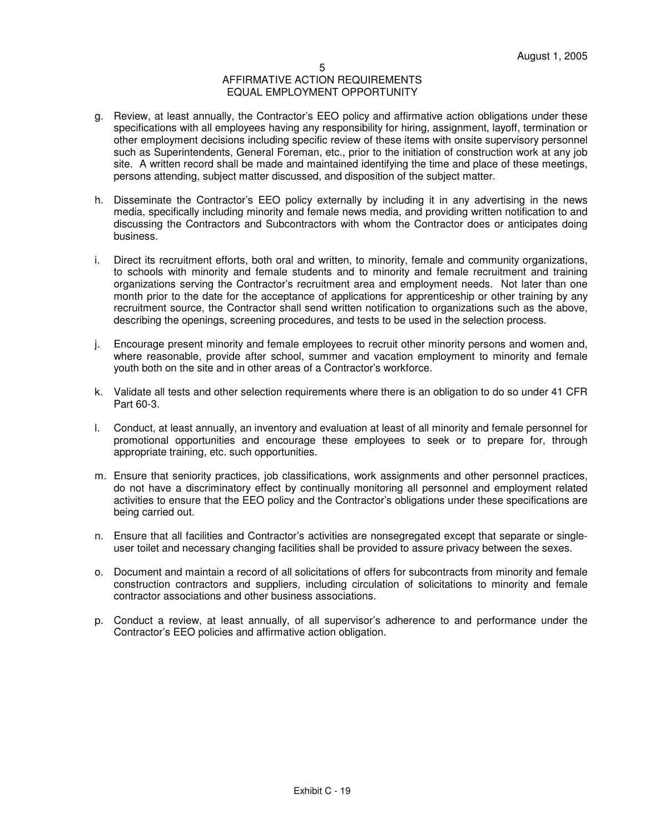- g. Review, at least annually, the Contractor's EEO policy and affirmative action obligations under these specifications with all employees having any responsibility for hiring, assignment, layoff, termination or other employment decisions including specific review of these items with onsite supervisory personnel such as Superintendents, General Foreman, etc., prior to the initiation of construction work at any job site. A written record shall be made and maintained identifying the time and place of these meetings, persons attending, subject matter discussed, and disposition of the subject matter.
- h. Disseminate the Contractor's EEO policy externally by including it in any advertising in the news media, specifically including minority and female news media, and providing written notification to and discussing the Contractors and Subcontractors with whom the Contractor does or anticipates doing business.
- i. Direct its recruitment efforts, both oral and written, to minority, female and community organizations, to schools with minority and female students and to minority and female recruitment and training organizations serving the Contractor's recruitment area and employment needs. Not later than one month prior to the date for the acceptance of applications for apprenticeship or other training by any recruitment source, the Contractor shall send written notification to organizations such as the above, describing the openings, screening procedures, and tests to be used in the selection process.
- j. Encourage present minority and female employees to recruit other minority persons and women and, where reasonable, provide after school, summer and vacation employment to minority and female youth both on the site and in other areas of a Contractor's workforce.
- k. Validate all tests and other selection requirements where there is an obligation to do so under 41 CFR Part 60-3.
- l. Conduct, at least annually, an inventory and evaluation at least of all minority and female personnel for promotional opportunities and encourage these employees to seek or to prepare for, through appropriate training, etc. such opportunities.
- m. Ensure that seniority practices, job classifications, work assignments and other personnel practices, do not have a discriminatory effect by continually monitoring all personnel and employment related activities to ensure that the EEO policy and the Contractor's obligations under these specifications are being carried out.
- n. Ensure that all facilities and Contractor's activities are nonsegregated except that separate or singleuser toilet and necessary changing facilities shall be provided to assure privacy between the sexes.
- o. Document and maintain a record of all solicitations of offers for subcontracts from minority and female construction contractors and suppliers, including circulation of solicitations to minority and female contractor associations and other business associations.
- p. Conduct a review, at least annually, of all supervisor's adherence to and performance under the Contractor's EEO policies and affirmative action obligation.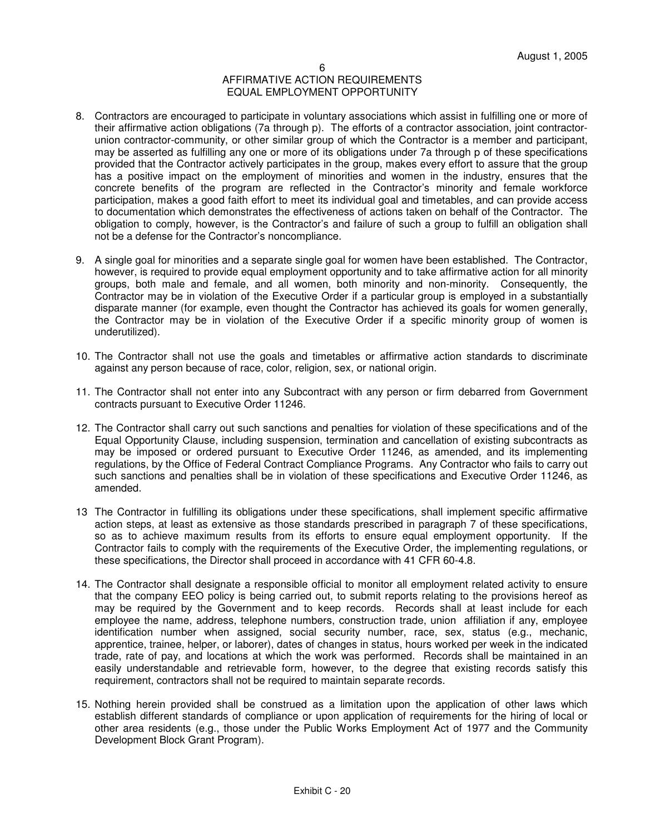- 8. Contractors are encouraged to participate in voluntary associations which assist in fulfilling one or more of their affirmative action obligations (7a through p). The efforts of a contractor association, joint contractorunion contractor-community, or other similar group of which the Contractor is a member and participant, may be asserted as fulfilling any one or more of its obligations under 7a through p of these specifications provided that the Contractor actively participates in the group, makes every effort to assure that the group has a positive impact on the employment of minorities and women in the industry, ensures that the concrete benefits of the program are reflected in the Contractor's minority and female workforce participation, makes a good faith effort to meet its individual goal and timetables, and can provide access to documentation which demonstrates the effectiveness of actions taken on behalf of the Contractor. The obligation to comply, however, is the Contractor's and failure of such a group to fulfill an obligation shall not be a defense for the Contractor's noncompliance.
- 9. A single goal for minorities and a separate single goal for women have been established. The Contractor, however, is required to provide equal employment opportunity and to take affirmative action for all minority groups, both male and female, and all women, both minority and non-minority. Consequently, the Contractor may be in violation of the Executive Order if a particular group is employed in a substantially disparate manner (for example, even thought the Contractor has achieved its goals for women generally, the Contractor may be in violation of the Executive Order if a specific minority group of women is underutilized).
- 10. The Contractor shall not use the goals and timetables or affirmative action standards to discriminate against any person because of race, color, religion, sex, or national origin.
- 11. The Contractor shall not enter into any Subcontract with any person or firm debarred from Government contracts pursuant to Executive Order 11246.
- 12. The Contractor shall carry out such sanctions and penalties for violation of these specifications and of the Equal Opportunity Clause, including suspension, termination and cancellation of existing subcontracts as may be imposed or ordered pursuant to Executive Order 11246, as amended, and its implementing regulations, by the Office of Federal Contract Compliance Programs. Any Contractor who fails to carry out such sanctions and penalties shall be in violation of these specifications and Executive Order 11246, as amended.
- 13 The Contractor in fulfilling its obligations under these specifications, shall implement specific affirmative action steps, at least as extensive as those standards prescribed in paragraph 7 of these specifications, so as to achieve maximum results from its efforts to ensure equal employment opportunity. If the Contractor fails to comply with the requirements of the Executive Order, the implementing regulations, or these specifications, the Director shall proceed in accordance with 41 CFR 60-4.8.
- 14. The Contractor shall designate a responsible official to monitor all employment related activity to ensure that the company EEO policy is being carried out, to submit reports relating to the provisions hereof as may be required by the Government and to keep records. Records shall at least include for each employee the name, address, telephone numbers, construction trade, union affiliation if any, employee identification number when assigned, social security number, race, sex, status (e.g., mechanic, apprentice, trainee, helper, or laborer), dates of changes in status, hours worked per week in the indicated trade, rate of pay, and locations at which the work was performed. Records shall be maintained in an easily understandable and retrievable form, however, to the degree that existing records satisfy this requirement, contractors shall not be required to maintain separate records.
- 15. Nothing herein provided shall be construed as a limitation upon the application of other laws which establish different standards of compliance or upon application of requirements for the hiring of local or other area residents (e.g., those under the Public Works Employment Act of 1977 and the Community Development Block Grant Program).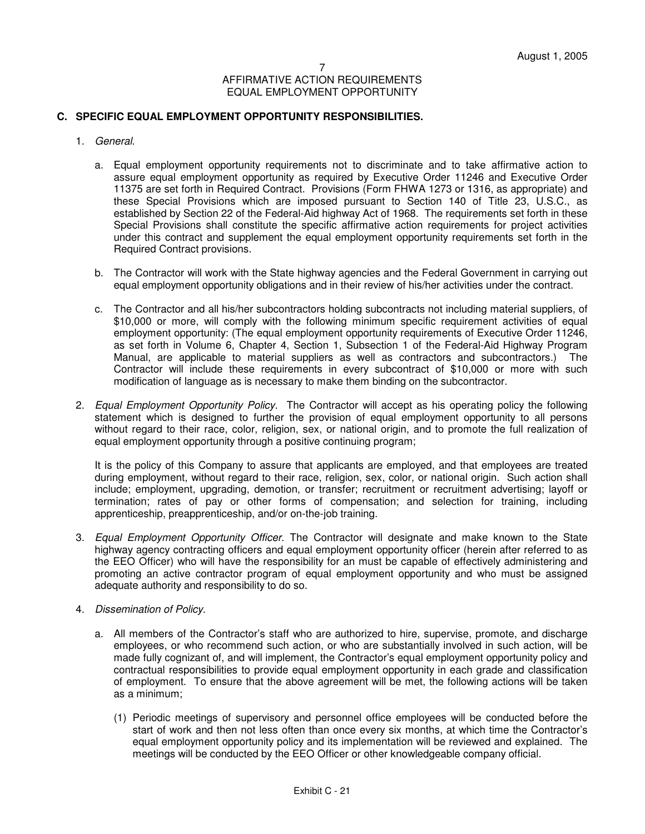### **C. SPECIFIC EQUAL EMPLOYMENT OPPORTUNITY RESPONSIBILITIES.**

- 1. General.
	- a. Equal employment opportunity requirements not to discriminate and to take affirmative action to assure equal employment opportunity as required by Executive Order 11246 and Executive Order 11375 are set forth in Required Contract. Provisions (Form FHWA 1273 or 1316, as appropriate) and these Special Provisions which are imposed pursuant to Section 140 of Title 23, U.S.C., as established by Section 22 of the Federal-Aid highway Act of 1968. The requirements set forth in these Special Provisions shall constitute the specific affirmative action requirements for project activities under this contract and supplement the equal employment opportunity requirements set forth in the Required Contract provisions.
	- b. The Contractor will work with the State highway agencies and the Federal Government in carrying out equal employment opportunity obligations and in their review of his/her activities under the contract.
	- c. The Contractor and all his/her subcontractors holding subcontracts not including material suppliers, of \$10,000 or more, will comply with the following minimum specific requirement activities of equal employment opportunity: (The equal employment opportunity requirements of Executive Order 11246, as set forth in Volume 6, Chapter 4, Section 1, Subsection 1 of the Federal-Aid Highway Program Manual, are applicable to material suppliers as well as contractors and subcontractors.) The Contractor will include these requirements in every subcontract of \$10,000 or more with such modification of language as is necessary to make them binding on the subcontractor.
- 2. Equal Employment Opportunity Policy. The Contractor will accept as his operating policy the following statement which is designed to further the provision of equal employment opportunity to all persons without regard to their race, color, religion, sex, or national origin, and to promote the full realization of equal employment opportunity through a positive continuing program;

 It is the policy of this Company to assure that applicants are employed, and that employees are treated during employment, without regard to their race, religion, sex, color, or national origin. Such action shall include; employment, upgrading, demotion, or transfer; recruitment or recruitment advertising; layoff or termination; rates of pay or other forms of compensation; and selection for training, including apprenticeship, preapprenticeship, and/or on-the-job training.

- 3. Equal Employment Opportunity Officer. The Contractor will designate and make known to the State highway agency contracting officers and equal employment opportunity officer (herein after referred to as the EEO Officer) who will have the responsibility for an must be capable of effectively administering and promoting an active contractor program of equal employment opportunity and who must be assigned adequate authority and responsibility to do so.
- 4. Dissemination of Policy.
	- a. All members of the Contractor's staff who are authorized to hire, supervise, promote, and discharge employees, or who recommend such action, or who are substantially involved in such action, will be made fully cognizant of, and will implement, the Contractor's equal employment opportunity policy and contractual responsibilities to provide equal employment opportunity in each grade and classification of employment. To ensure that the above agreement will be met, the following actions will be taken as a minimum;
		- (1) Periodic meetings of supervisory and personnel office employees will be conducted before the start of work and then not less often than once every six months, at which time the Contractor's equal employment opportunity policy and its implementation will be reviewed and explained. The meetings will be conducted by the EEO Officer or other knowledgeable company official.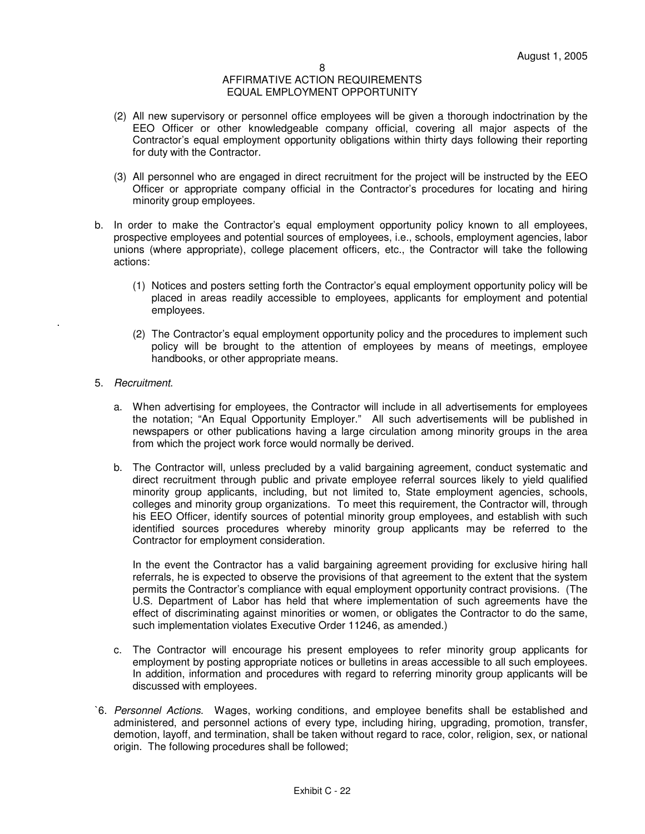- (2) All new supervisory or personnel office employees will be given a thorough indoctrination by the EEO Officer or other knowledgeable company official, covering all major aspects of the Contractor's equal employment opportunity obligations within thirty days following their reporting for duty with the Contractor.
- (3) All personnel who are engaged in direct recruitment for the project will be instructed by the EEO Officer or appropriate company official in the Contractor's procedures for locating and hiring minority group employees.
- b. In order to make the Contractor's equal employment opportunity policy known to all employees, prospective employees and potential sources of employees, i.e., schools, employment agencies, labor unions (where appropriate), college placement officers, etc., the Contractor will take the following actions:
	- (1) Notices and posters setting forth the Contractor's equal employment opportunity policy will be placed in areas readily accessible to employees, applicants for employment and potential employees.
	- (2) The Contractor's equal employment opportunity policy and the procedures to implement such policy will be brought to the attention of employees by means of meetings, employee handbooks, or other appropriate means.
- 5. Recruitment.

.

- a. When advertising for employees, the Contractor will include in all advertisements for employees the notation; "An Equal Opportunity Employer." All such advertisements will be published in newspapers or other publications having a large circulation among minority groups in the area from which the project work force would normally be derived.
- b. The Contractor will, unless precluded by a valid bargaining agreement, conduct systematic and direct recruitment through public and private employee referral sources likely to yield qualified minority group applicants, including, but not limited to, State employment agencies, schools, colleges and minority group organizations. To meet this requirement, the Contractor will, through his EEO Officer, identify sources of potential minority group employees, and establish with such identified sources procedures whereby minority group applicants may be referred to the Contractor for employment consideration.

 In the event the Contractor has a valid bargaining agreement providing for exclusive hiring hall referrals, he is expected to observe the provisions of that agreement to the extent that the system permits the Contractor's compliance with equal employment opportunity contract provisions. (The U.S. Department of Labor has held that where implementation of such agreements have the effect of discriminating against minorities or women, or obligates the Contractor to do the same, such implementation violates Executive Order 11246, as amended.)

- c. The Contractor will encourage his present employees to refer minority group applicants for employment by posting appropriate notices or bulletins in areas accessible to all such employees. In addition, information and procedures with regard to referring minority group applicants will be discussed with employees.
- `6. Personnel Actions. Wages, working conditions, and employee benefits shall be established and administered, and personnel actions of every type, including hiring, upgrading, promotion, transfer, demotion, layoff, and termination, shall be taken without regard to race, color, religion, sex, or national origin. The following procedures shall be followed;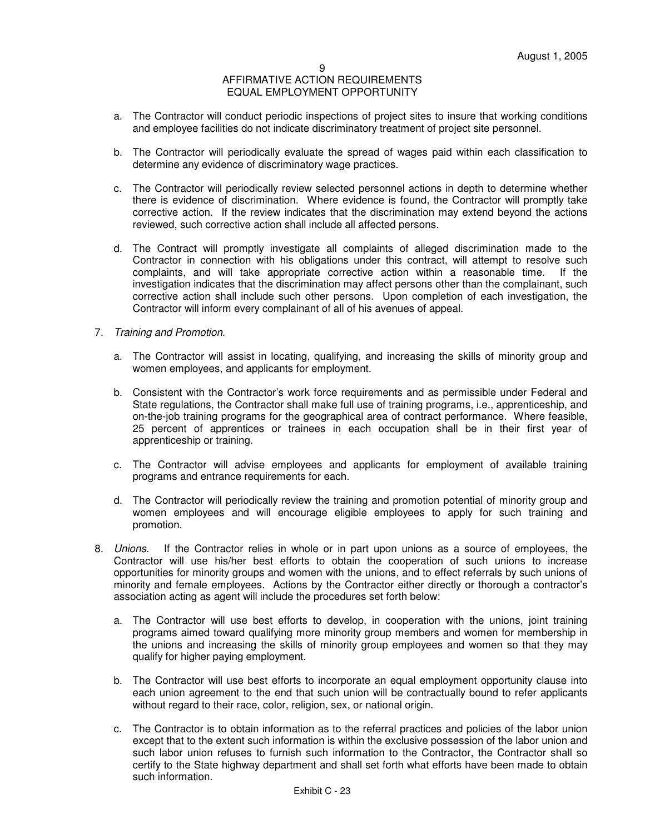- a. The Contractor will conduct periodic inspections of project sites to insure that working conditions and employee facilities do not indicate discriminatory treatment of project site personnel.
- b. The Contractor will periodically evaluate the spread of wages paid within each classification to determine any evidence of discriminatory wage practices.
- c. The Contractor will periodically review selected personnel actions in depth to determine whether there is evidence of discrimination. Where evidence is found, the Contractor will promptly take corrective action. If the review indicates that the discrimination may extend beyond the actions reviewed, such corrective action shall include all affected persons.
- d. The Contract will promptly investigate all complaints of alleged discrimination made to the Contractor in connection with his obligations under this contract, will attempt to resolve such complaints, and will take appropriate corrective action within a reasonable time. If the investigation indicates that the discrimination may affect persons other than the complainant, such corrective action shall include such other persons. Upon completion of each investigation, the Contractor will inform every complainant of all of his avenues of appeal.
- 7. Training and Promotion.
	- a. The Contractor will assist in locating, qualifying, and increasing the skills of minority group and women employees, and applicants for employment.
	- b. Consistent with the Contractor's work force requirements and as permissible under Federal and State regulations, the Contractor shall make full use of training programs, i.e., apprenticeship, and on-the-job training programs for the geographical area of contract performance. Where feasible, 25 percent of apprentices or trainees in each occupation shall be in their first year of apprenticeship or training.
	- c. The Contractor will advise employees and applicants for employment of available training programs and entrance requirements for each.
	- d. The Contractor will periodically review the training and promotion potential of minority group and women employees and will encourage eligible employees to apply for such training and promotion.
- 8. Unions. If the Contractor relies in whole or in part upon unions as a source of employees, the Contractor will use his/her best efforts to obtain the cooperation of such unions to increase opportunities for minority groups and women with the unions, and to effect referrals by such unions of minority and female employees. Actions by the Contractor either directly or thorough a contractor's association acting as agent will include the procedures set forth below:
	- a. The Contractor will use best efforts to develop, in cooperation with the unions, joint training programs aimed toward qualifying more minority group members and women for membership in the unions and increasing the skills of minority group employees and women so that they may qualify for higher paying employment.
	- b. The Contractor will use best efforts to incorporate an equal employment opportunity clause into each union agreement to the end that such union will be contractually bound to refer applicants without regard to their race, color, religion, sex, or national origin.
	- c. The Contractor is to obtain information as to the referral practices and policies of the labor union except that to the extent such information is within the exclusive possession of the labor union and such labor union refuses to furnish such information to the Contractor, the Contractor shall so certify to the State highway department and shall set forth what efforts have been made to obtain such information.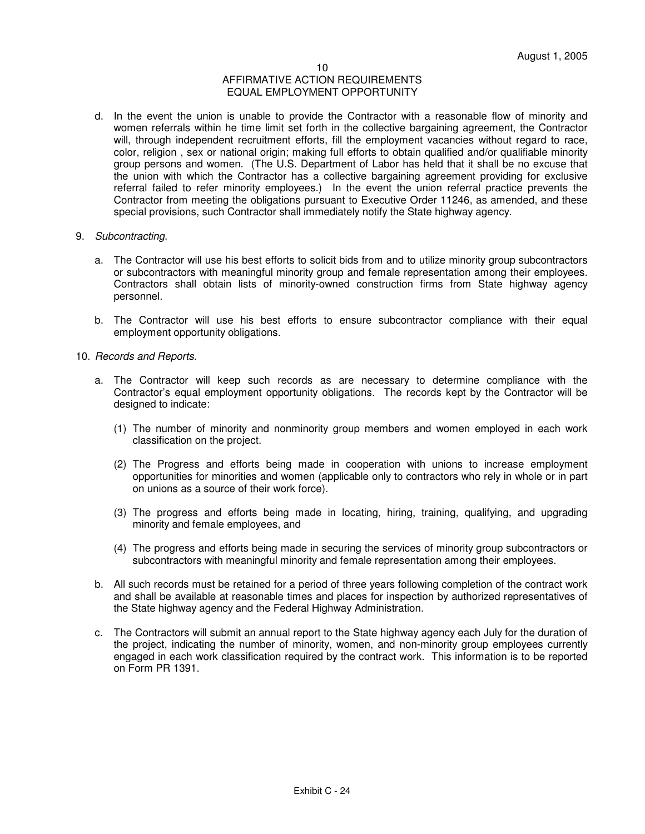- d. In the event the union is unable to provide the Contractor with a reasonable flow of minority and women referrals within he time limit set forth in the collective bargaining agreement, the Contractor will, through independent recruitment efforts, fill the employment vacancies without regard to race, color, religion , sex or national origin; making full efforts to obtain qualified and/or qualifiable minority group persons and women. (The U.S. Department of Labor has held that it shall be no excuse that the union with which the Contractor has a collective bargaining agreement providing for exclusive referral failed to refer minority employees.) In the event the union referral practice prevents the Contractor from meeting the obligations pursuant to Executive Order 11246, as amended, and these special provisions, such Contractor shall immediately notify the State highway agency.
- 9. Subcontracting.
	- a. The Contractor will use his best efforts to solicit bids from and to utilize minority group subcontractors or subcontractors with meaningful minority group and female representation among their employees. Contractors shall obtain lists of minority-owned construction firms from State highway agency personnel.
	- b. The Contractor will use his best efforts to ensure subcontractor compliance with their equal employment opportunity obligations.
- 10. Records and Reports.
	- a. The Contractor will keep such records as are necessary to determine compliance with the Contractor's equal employment opportunity obligations. The records kept by the Contractor will be designed to indicate:
		- (1) The number of minority and nonminority group members and women employed in each work classification on the project.
		- (2) The Progress and efforts being made in cooperation with unions to increase employment opportunities for minorities and women (applicable only to contractors who rely in whole or in part on unions as a source of their work force).
		- (3) The progress and efforts being made in locating, hiring, training, qualifying, and upgrading minority and female employees, and
		- (4) The progress and efforts being made in securing the services of minority group subcontractors or subcontractors with meaningful minority and female representation among their employees.
	- b. All such records must be retained for a period of three years following completion of the contract work and shall be available at reasonable times and places for inspection by authorized representatives of the State highway agency and the Federal Highway Administration.
	- c. The Contractors will submit an annual report to the State highway agency each July for the duration of the project, indicating the number of minority, women, and non-minority group employees currently engaged in each work classification required by the contract work. This information is to be reported on Form PR 1391.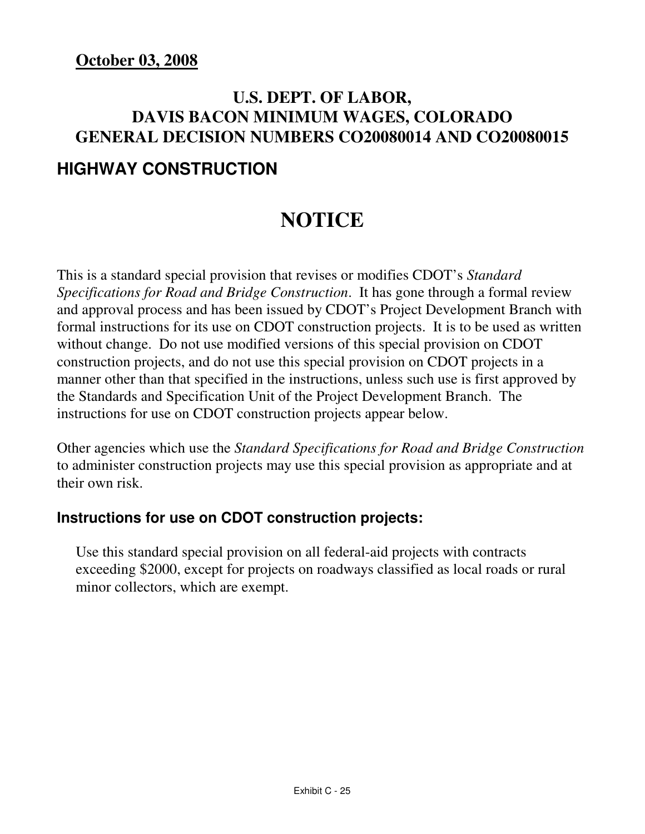# **October 03, 2008**

# **U.S. DEPT. OF LABOR, DAVIS BACON MINIMUM WAGES, COLORADO GENERAL DECISION NUMBERS CO20080014 AND CO20080015 HIGHWAY CONSTRUCTION**

# **NOTICE**

This is a standard special provision that revises or modifies CDOT's *Standard Specifications for Road and Bridge Construction*. It has gone through a formal review and approval process and has been issued by CDOT's Project Development Branch with formal instructions for its use on CDOT construction projects. It is to be used as written without change. Do not use modified versions of this special provision on CDOT construction projects, and do not use this special provision on CDOT projects in a manner other than that specified in the instructions, unless such use is first approved by the Standards and Specification Unit of the Project Development Branch. The instructions for use on CDOT construction projects appear below.

Other agencies which use the *Standard Specifications for Road and Bridge Construction* to administer construction projects may use this special provision as appropriate and at their own risk.

# **Instructions for use on CDOT construction projects:**

Use this standard special provision on all federal-aid projects with contracts exceeding \$2000, except for projects on roadways classified as local roads or rural minor collectors, which are exempt.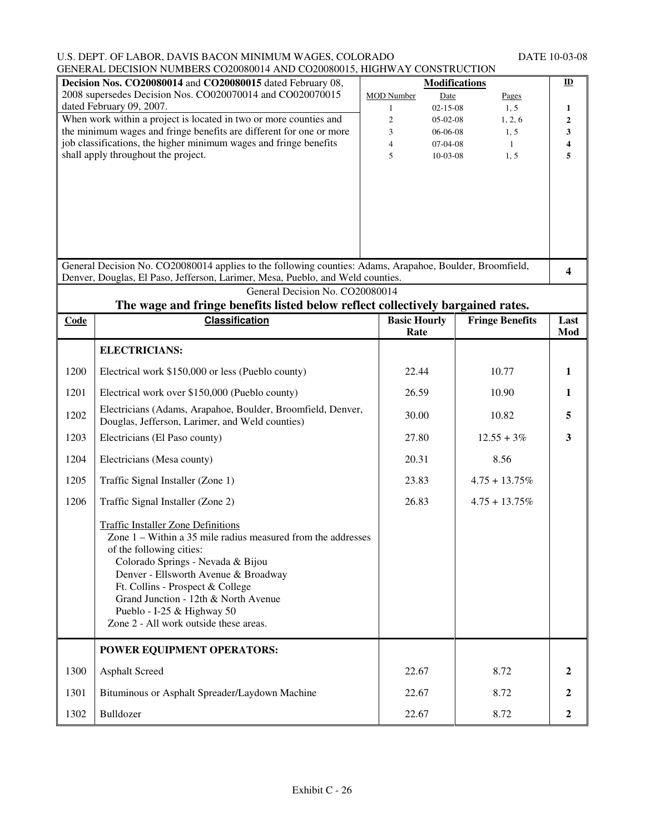#### U.S. DEPT. OF LABOR, DAVIS BACON MINIMUM WAGES, COLORADO DATE 10-03-08 GENERAL DECISION NUMBERS CO20080014 AND CO20080015, HIGHWAY CONSTRUCTION

|      | OENEKAL DECISION NOMBEKS COZWOWI4 AND COZWOWIJ, HIOH WAT CONSTRUCTION                                                                                                                                                                                                                                                                                                    |                             |                              |                        |                         |
|------|--------------------------------------------------------------------------------------------------------------------------------------------------------------------------------------------------------------------------------------------------------------------------------------------------------------------------------------------------------------------------|-----------------------------|------------------------------|------------------------|-------------------------|
|      | Decision Nos. CO20080014 and CO20080015 dated February 08,<br>2008 supersedes Decision Nos. CO020070014 and CO020070015                                                                                                                                                                                                                                                  | <b>MOD Number</b>           | <b>Modifications</b><br>Date | Pages                  | $\mathbf{D}$            |
|      | dated February 09, 2007.                                                                                                                                                                                                                                                                                                                                                 | $\mathbf{1}$                | $02 - 15 - 08$               | 1, 5                   | 1                       |
|      | When work within a project is located in two or more counties and                                                                                                                                                                                                                                                                                                        | $\mathfrak{2}$              | 05-02-08                     | 1, 2, 6                | $\boldsymbol{2}$        |
|      | the minimum wages and fringe benefits are different for one or more                                                                                                                                                                                                                                                                                                      | 3                           | 06-06-08                     | 1, 5                   | 3                       |
|      | job classifications, the higher minimum wages and fringe benefits                                                                                                                                                                                                                                                                                                        | $\overline{4}$              | 07-04-08                     | 1                      | 4                       |
|      | shall apply throughout the project.                                                                                                                                                                                                                                                                                                                                      | 5                           | 10-03-08                     | 1, 5                   | 5                       |
|      | General Decision No. CO20080014 applies to the following counties: Adams, Arapahoe, Boulder, Broomfield,<br>Denver, Douglas, El Paso, Jefferson, Larimer, Mesa, Pueblo, and Weld counties.                                                                                                                                                                               |                             |                              |                        | $\overline{\mathbf{4}}$ |
|      | General Decision No. CO20080014                                                                                                                                                                                                                                                                                                                                          |                             |                              |                        |                         |
|      | The wage and fringe benefits listed below reflect collectively bargained rates.                                                                                                                                                                                                                                                                                          |                             |                              |                        |                         |
| Code | <b>Classification</b>                                                                                                                                                                                                                                                                                                                                                    | <b>Basic Hourly</b><br>Rate |                              | <b>Fringe Benefits</b> | Last<br>Mod             |
|      | <b>ELECTRICIANS:</b>                                                                                                                                                                                                                                                                                                                                                     |                             |                              |                        |                         |
| 1200 | Electrical work \$150,000 or less (Pueblo county)                                                                                                                                                                                                                                                                                                                        | 22.44                       |                              | 10.77                  | 1                       |
| 1201 | Electrical work over \$150,000 (Pueblo county)                                                                                                                                                                                                                                                                                                                           | 26.59                       |                              | 10.90                  | 1                       |
| 1202 | Electricians (Adams, Arapahoe, Boulder, Broomfield, Denver,<br>Douglas, Jefferson, Larimer, and Weld counties)                                                                                                                                                                                                                                                           | 30.00                       |                              | 10.82                  | 5                       |
| 1203 | Electricians (El Paso county)                                                                                                                                                                                                                                                                                                                                            | 27.80                       |                              | $12.55 + 3\%$          | $\mathbf{3}$            |
| 1204 | Electricians (Mesa county)                                                                                                                                                                                                                                                                                                                                               | 20.31                       |                              | 8.56                   |                         |
| 1205 | Traffic Signal Installer (Zone 1)                                                                                                                                                                                                                                                                                                                                        | 23.83                       |                              | $4.75 + 13.75\%$       |                         |
| 1206 | Traffic Signal Installer (Zone 2)                                                                                                                                                                                                                                                                                                                                        | 26.83                       |                              | $4.75 + 13.75\%$       |                         |
|      | <b>Traffic Installer Zone Definitions</b><br>Zone $1 -$ Within a 35 mile radius measured from the addresses<br>of the following cities:<br>Colorado Springs - Nevada & Bijou<br>Denver - Ellsworth Avenue & Broadway<br>Ft. Collins - Prospect & College<br>Grand Junction - 12th & North Avenue<br>Pueblo - I-25 & Highway 50<br>Zone 2 - All work outside these areas. |                             |                              |                        |                         |
|      | POWER EQUIPMENT OPERATORS:                                                                                                                                                                                                                                                                                                                                               |                             |                              |                        |                         |
| 1300 | <b>Asphalt Screed</b>                                                                                                                                                                                                                                                                                                                                                    | 22.67                       |                              | 8.72                   | 2                       |
| 1301 | Bituminous or Asphalt Spreader/Laydown Machine                                                                                                                                                                                                                                                                                                                           | 22.67                       |                              | 8.72                   | $\overline{2}$          |
| 1302 | Bulldozer                                                                                                                                                                                                                                                                                                                                                                | 22.67                       |                              | 8.72                   | $\boldsymbol{2}$        |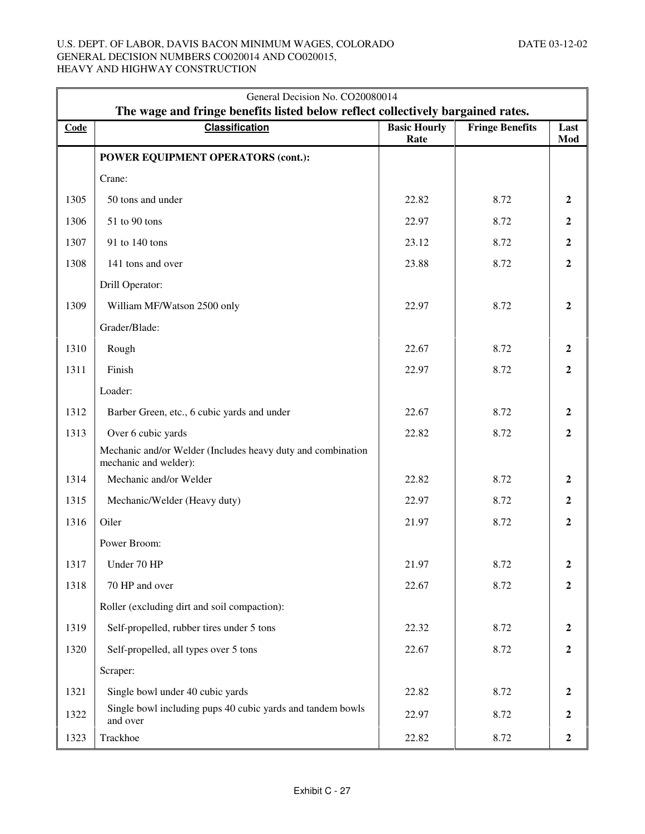### U.S. DEPT. OF LABOR, DAVIS BACON MINIMUM WAGES, COLORADO DATE 03-12-02 GENERAL DECISION NUMBERS CO020014 AND CO020015, HEAVY AND HIGHWAY CONSTRUCTION

| General Decision No. CO20080014<br>The wage and fringe benefits listed below reflect collectively bargained rates. |                                                                                      |                             |                        |                  |
|--------------------------------------------------------------------------------------------------------------------|--------------------------------------------------------------------------------------|-----------------------------|------------------------|------------------|
| Code                                                                                                               | <b>Classification</b>                                                                | <b>Basic Hourly</b><br>Rate | <b>Fringe Benefits</b> | Last<br>Mod      |
|                                                                                                                    | POWER EQUIPMENT OPERATORS (cont.):                                                   |                             |                        |                  |
|                                                                                                                    | Crane:                                                                               |                             |                        |                  |
| 1305                                                                                                               | 50 tons and under                                                                    | 22.82                       | 8.72                   | 2                |
| 1306                                                                                                               | 51 to 90 tons                                                                        | 22.97                       | 8.72                   | $\mathbf{2}$     |
| 1307                                                                                                               | 91 to 140 tons                                                                       | 23.12                       | 8.72                   | $\boldsymbol{2}$ |
| 1308                                                                                                               | 141 tons and over                                                                    | 23.88                       | 8.72                   | $\mathbf{2}$     |
|                                                                                                                    | Drill Operator:                                                                      |                             |                        |                  |
| 1309                                                                                                               | William MF/Watson 2500 only                                                          | 22.97                       | 8.72                   | 2                |
|                                                                                                                    | Grader/Blade:                                                                        |                             |                        |                  |
| 1310                                                                                                               | Rough                                                                                | 22.67                       | 8.72                   | 2                |
| 1311                                                                                                               | Finish                                                                               | 22.97                       | 8.72                   | $\mathbf{2}$     |
|                                                                                                                    | Loader:                                                                              |                             |                        |                  |
| 1312                                                                                                               | Barber Green, etc., 6 cubic yards and under                                          | 22.67                       | 8.72                   | 2                |
| 1313                                                                                                               | Over 6 cubic yards                                                                   | 22.82                       | 8.72                   | $\mathbf{2}$     |
|                                                                                                                    | Mechanic and/or Welder (Includes heavy duty and combination<br>mechanic and welder): |                             |                        |                  |
| 1314                                                                                                               | Mechanic and/or Welder                                                               | 22.82                       | 8.72                   | $\mathbf{2}$     |
| 1315                                                                                                               | Mechanic/Welder (Heavy duty)                                                         | 22.97                       | 8.72                   | 2                |
| 1316                                                                                                               | Oiler                                                                                | 21.97                       | 8.72                   | 2                |
|                                                                                                                    | Power Broom:                                                                         |                             |                        |                  |
| 1317                                                                                                               | Under 70 HP                                                                          | 21.97                       | 8.72                   | 2                |
| 1318                                                                                                               | 70 HP and over                                                                       | 22.67                       | 8.72                   | $\boldsymbol{2}$ |
|                                                                                                                    | Roller (excluding dirt and soil compaction):                                         |                             |                        |                  |
| 1319                                                                                                               | Self-propelled, rubber tires under 5 tons                                            | 22.32                       | 8.72                   | 2                |
| 1320                                                                                                               | Self-propelled, all types over 5 tons                                                | 22.67                       | 8.72                   | $\boldsymbol{2}$ |
|                                                                                                                    | Scraper:                                                                             |                             |                        |                  |
| 1321                                                                                                               | Single bowl under 40 cubic yards                                                     | 22.82                       | 8.72                   | 2                |
| 1322                                                                                                               | Single bowl including pups 40 cubic yards and tandem bowls<br>and over               | 22.97                       | 8.72                   | $\boldsymbol{2}$ |
| 1323                                                                                                               | Trackhoe                                                                             | 22.82                       | 8.72                   | $\boldsymbol{2}$ |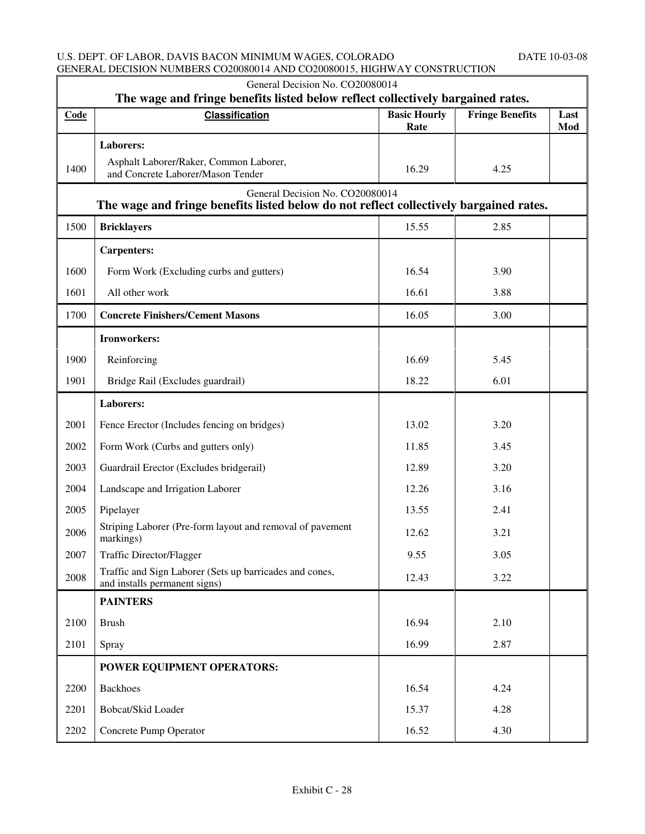### U.S. DEPT. OF LABOR, DAVIS BACON MINIMUM WAGES, COLORADO DATE 10-03-08 GENERAL DECISION NUMBERS CO20080014 AND CO20080015, HIGHWAY CONSTRUCTION

| General Decision No. CO20080014<br>The wage and fringe benefits listed below reflect collectively bargained rates. |                                                                                                                           |                             |                        |             |
|--------------------------------------------------------------------------------------------------------------------|---------------------------------------------------------------------------------------------------------------------------|-----------------------------|------------------------|-------------|
| Code                                                                                                               | <b>Classification</b>                                                                                                     | <b>Basic Hourly</b><br>Rate | <b>Fringe Benefits</b> | Last<br>Mod |
|                                                                                                                    | <b>Laborers:</b>                                                                                                          |                             |                        |             |
| 1400                                                                                                               | Asphalt Laborer/Raker, Common Laborer,<br>and Concrete Laborer/Mason Tender                                               | 16.29                       | 4.25                   |             |
|                                                                                                                    | General Decision No. CO20080014<br>The wage and fringe benefits listed below do not reflect collectively bargained rates. |                             |                        |             |
| 1500                                                                                                               | <b>Bricklayers</b>                                                                                                        | 15.55                       | 2.85                   |             |
|                                                                                                                    | <b>Carpenters:</b>                                                                                                        |                             |                        |             |
| 1600                                                                                                               | Form Work (Excluding curbs and gutters)                                                                                   | 16.54                       | 3.90                   |             |
| 1601                                                                                                               | All other work                                                                                                            | 16.61                       | 3.88                   |             |
| 1700                                                                                                               | <b>Concrete Finishers/Cement Masons</b>                                                                                   | 16.05                       | 3.00                   |             |
|                                                                                                                    | <b>Ironworkers:</b>                                                                                                       |                             |                        |             |
| 1900                                                                                                               | Reinforcing                                                                                                               | 16.69                       | 5.45                   |             |
| 1901                                                                                                               | Bridge Rail (Excludes guardrail)                                                                                          | 18.22                       | 6.01                   |             |
|                                                                                                                    | <b>Laborers:</b>                                                                                                          |                             |                        |             |
| 2001                                                                                                               | Fence Erector (Includes fencing on bridges)                                                                               | 13.02                       | 3.20                   |             |
| 2002                                                                                                               | Form Work (Curbs and gutters only)                                                                                        | 11.85                       | 3.45                   |             |
| 2003                                                                                                               | Guardrail Erector (Excludes bridgerail)                                                                                   | 12.89                       | 3.20                   |             |
| 2004                                                                                                               | Landscape and Irrigation Laborer                                                                                          | 12.26                       | 3.16                   |             |
| 2005                                                                                                               | Pipelayer                                                                                                                 | 13.55                       | 2.41                   |             |
| 2006                                                                                                               | Striping Laborer (Pre-form layout and removal of pavement<br>markings)                                                    | 12.62                       | 3.21                   |             |
| 2007                                                                                                               | Traffic Director/Flagger                                                                                                  | 9.55                        | 3.05                   |             |
| 2008                                                                                                               | Traffic and Sign Laborer (Sets up barricades and cones,<br>and installs permanent signs)                                  | 12.43                       | 3.22                   |             |
|                                                                                                                    | <b>PAINTERS</b>                                                                                                           |                             |                        |             |
| 2100                                                                                                               | <b>Brush</b>                                                                                                              | 16.94                       | 2.10                   |             |
| 2101                                                                                                               | Spray                                                                                                                     | 16.99                       | 2.87                   |             |
|                                                                                                                    | POWER EQUIPMENT OPERATORS:                                                                                                |                             |                        |             |
| 2200                                                                                                               | <b>Backhoes</b>                                                                                                           | 16.54                       | 4.24                   |             |
| 2201                                                                                                               | Bobcat/Skid Loader                                                                                                        | 15.37                       | 4.28                   |             |
| 2202                                                                                                               | Concrete Pump Operator                                                                                                    | 16.52                       | 4.30                   |             |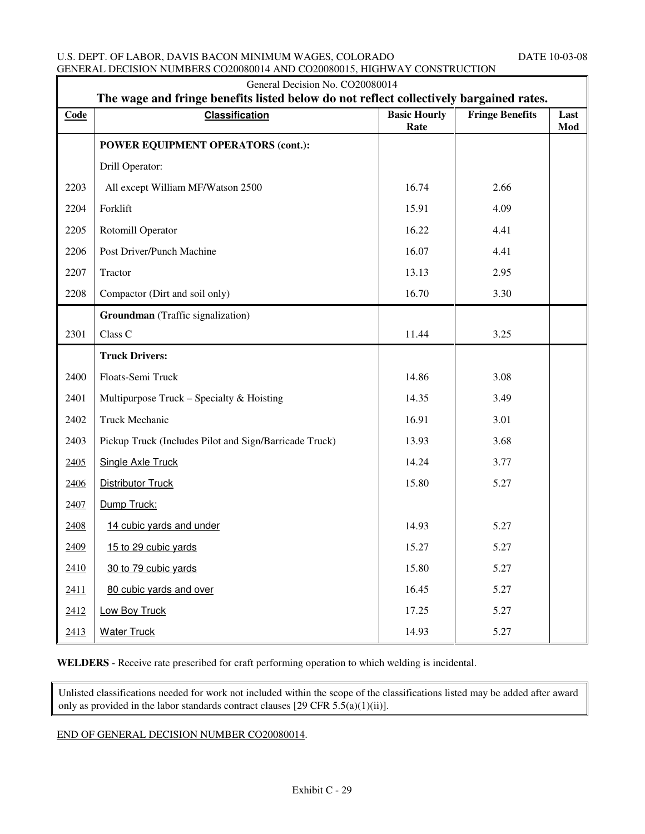### U.S. DEPT. OF LABOR, DAVIS BACON MINIMUM WAGES, COLORADO DATE 10-03-08 GENERAL DECISION NUMBERS CO20080014 AND CO20080015, HIGHWAY CONSTRUCTION

Г

٦

|      | General Decision No. COZUU80014<br>The wage and fringe benefits listed below do not reflect collectively bargained rates. |                             |                        |             |
|------|---------------------------------------------------------------------------------------------------------------------------|-----------------------------|------------------------|-------------|
| Code | <b>Classification</b>                                                                                                     | <b>Basic Hourly</b><br>Rate | <b>Fringe Benefits</b> | Last<br>Mod |
|      | POWER EQUIPMENT OPERATORS (cont.):                                                                                        |                             |                        |             |
|      | Drill Operator:                                                                                                           |                             |                        |             |
| 2203 | All except William MF/Watson 2500                                                                                         | 16.74                       | 2.66                   |             |
| 2204 | Forklift                                                                                                                  | 15.91                       | 4.09                   |             |
| 2205 | Rotomill Operator                                                                                                         | 16.22                       | 4.41                   |             |
| 2206 | Post Driver/Punch Machine                                                                                                 | 16.07                       | 4.41                   |             |
| 2207 | Tractor                                                                                                                   | 13.13                       | 2.95                   |             |
| 2208 | Compactor (Dirt and soil only)                                                                                            | 16.70                       | 3.30                   |             |
|      | <b>Groundman</b> (Traffic signalization)                                                                                  |                             |                        |             |
| 2301 | Class C                                                                                                                   | 11.44                       | 3.25                   |             |
|      | <b>Truck Drivers:</b>                                                                                                     |                             |                        |             |
| 2400 | Floats-Semi Truck                                                                                                         | 14.86                       | 3.08                   |             |
| 2401 | Multipurpose Truck – Specialty & Hoisting                                                                                 | 14.35                       | 3.49                   |             |
| 2402 | Truck Mechanic                                                                                                            | 16.91                       | 3.01                   |             |
| 2403 | Pickup Truck (Includes Pilot and Sign/Barricade Truck)                                                                    | 13.93                       | 3.68                   |             |
| 2405 | <b>Single Axle Truck</b>                                                                                                  | 14.24                       | 3.77                   |             |
| 2406 | Distributor Truck                                                                                                         | 15.80                       | 5.27                   |             |
| 2407 | Dump Truck:                                                                                                               |                             |                        |             |
| 2408 | 14 cubic yards and under                                                                                                  | 14.93                       | 5.27                   |             |
| 2409 | 15 to 29 cubic yards                                                                                                      | 15.27                       | 5.27                   |             |
| 2410 | 30 to 79 cubic yards                                                                                                      | 15.80                       | 5.27                   |             |
| 2411 | 80 cubic yards and over                                                                                                   | 16.45                       | 5.27                   |             |
| 2412 | Low Boy Truck                                                                                                             | 17.25                       | 5.27                   |             |
| 2413 | <b>Water Truck</b>                                                                                                        | 14.93                       | 5.27                   |             |

## General Decision No. CO20080014

**WELDERS** - Receive rate prescribed for craft performing operation to which welding is incidental.

Unlisted classifications needed for work not included within the scope of the classifications listed may be added after award only as provided in the labor standards contract clauses [29 CFR 5.5(a)(1)(ii)].

#### END OF GENERAL DECISION NUMBER CO20080014.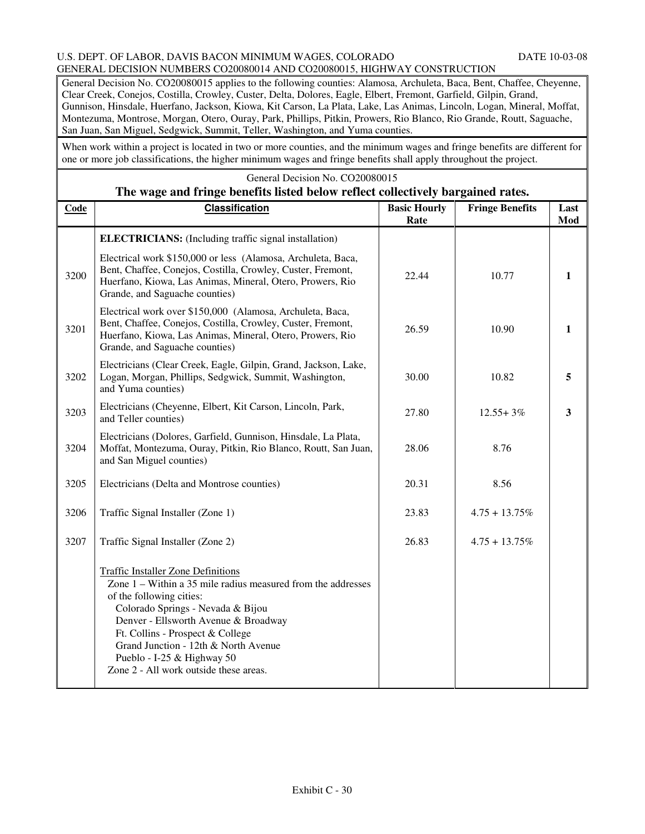General Decision No. CO20080015 applies to the following counties: Alamosa, Archuleta, Baca, Bent, Chaffee, Cheyenne, Clear Creek, Conejos, Costilla, Crowley, Custer, Delta, Dolores, Eagle, Elbert, Fremont, Garfield, Gilpin, Grand, Gunnison, Hinsdale, Huerfano, Jackson, Kiowa, Kit Carson, La Plata, Lake, Las Animas, Lincoln, Logan, Mineral, Moffat, Montezuma, Montrose, Morgan, Otero, Ouray, Park, Phillips, Pitkin, Prowers, Rio Blanco, Rio Grande, Routt, Saguache, San Juan, San Miguel, Sedgwick, Summit, Teller, Washington, and Yuma counties.

When work within a project is located in two or more counties, and the minimum wages and fringe benefits are different for one or more job classifications, the higher minimum wages and fringe benefits shall apply throughout the project.

| General Decision No. CO20080015 |                                                                                                                                                                                                                                                                                                                                                                          |                             |                        |             |  |  |
|---------------------------------|--------------------------------------------------------------------------------------------------------------------------------------------------------------------------------------------------------------------------------------------------------------------------------------------------------------------------------------------------------------------------|-----------------------------|------------------------|-------------|--|--|
|                                 | The wage and fringe benefits listed below reflect collectively bargained rates.                                                                                                                                                                                                                                                                                          |                             |                        |             |  |  |
| Code                            | <b>Classification</b>                                                                                                                                                                                                                                                                                                                                                    | <b>Basic Hourly</b><br>Rate | <b>Fringe Benefits</b> | Last<br>Mod |  |  |
|                                 | <b>ELECTRICIANS:</b> (Including traffic signal installation)                                                                                                                                                                                                                                                                                                             |                             |                        |             |  |  |
| 3200                            | Electrical work \$150,000 or less (Alamosa, Archuleta, Baca,<br>Bent, Chaffee, Conejos, Costilla, Crowley, Custer, Fremont,<br>Huerfano, Kiowa, Las Animas, Mineral, Otero, Prowers, Rio<br>Grande, and Saguache counties)                                                                                                                                               | 22.44                       | 10.77                  | 1           |  |  |
| 3201                            | Electrical work over \$150,000 (Alamosa, Archuleta, Baca,<br>Bent, Chaffee, Conejos, Costilla, Crowley, Custer, Fremont,<br>Huerfano, Kiowa, Las Animas, Mineral, Otero, Prowers, Rio<br>Grande, and Saguache counties)                                                                                                                                                  | 26.59                       | 10.90                  | 1           |  |  |
| 3202                            | Electricians (Clear Creek, Eagle, Gilpin, Grand, Jackson, Lake,<br>Logan, Morgan, Phillips, Sedgwick, Summit, Washington,<br>and Yuma counties)                                                                                                                                                                                                                          | 30.00                       | 10.82                  | 5           |  |  |
| 3203                            | Electricians (Cheyenne, Elbert, Kit Carson, Lincoln, Park,<br>and Teller counties)                                                                                                                                                                                                                                                                                       | 27.80                       | $12.55 + 3%$           | 3           |  |  |
| 3204                            | Electricians (Dolores, Garfield, Gunnison, Hinsdale, La Plata,<br>Moffat, Montezuma, Ouray, Pitkin, Rio Blanco, Routt, San Juan,<br>and San Miguel counties)                                                                                                                                                                                                             | 28.06                       | 8.76                   |             |  |  |
| 3205                            | Electricians (Delta and Montrose counties)                                                                                                                                                                                                                                                                                                                               | 20.31                       | 8.56                   |             |  |  |
| 3206                            | Traffic Signal Installer (Zone 1)                                                                                                                                                                                                                                                                                                                                        | 23.83                       | $4.75 + 13.75\%$       |             |  |  |
| 3207                            | Traffic Signal Installer (Zone 2)                                                                                                                                                                                                                                                                                                                                        | 26.83                       | $4.75 + 13.75\%$       |             |  |  |
|                                 | <b>Traffic Installer Zone Definitions</b><br>Zone $1 -$ Within a 35 mile radius measured from the addresses<br>of the following cities:<br>Colorado Springs - Nevada & Bijou<br>Denver - Ellsworth Avenue & Broadway<br>Ft. Collins - Prospect & College<br>Grand Junction - 12th & North Avenue<br>Pueblo - I-25 & Highway 50<br>Zone 2 - All work outside these areas. |                             |                        |             |  |  |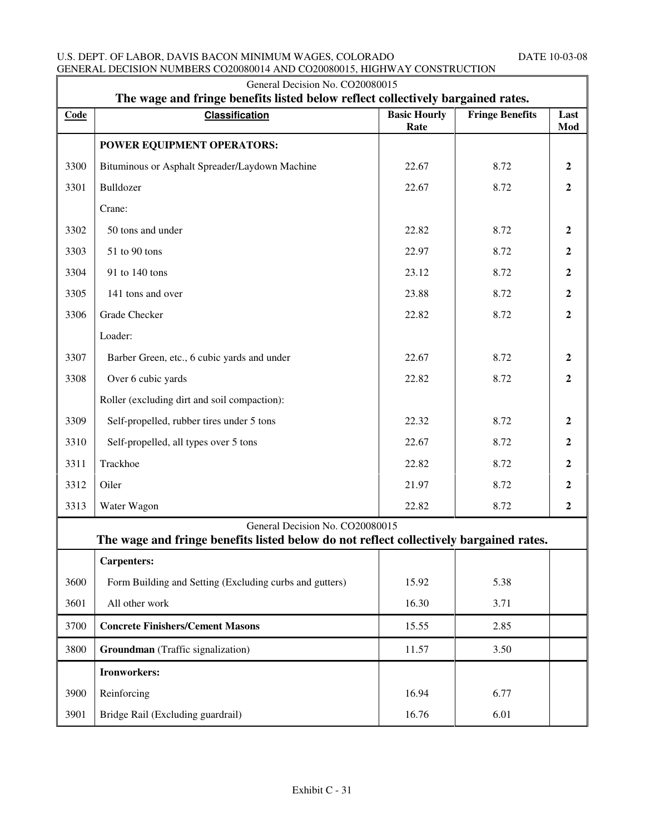### U.S. DEPT. OF LABOR, DAVIS BACON MINIMUM WAGES, COLORADO DATE 10-03-08 GENERAL DECISION NUMBERS CO20080014 AND CO20080015, HIGHWAY CONSTRUCTION

| General Decision No. CO20080015<br>The wage and fringe benefits listed below reflect collectively bargained rates. |                                                                                        |                             |                        |                |
|--------------------------------------------------------------------------------------------------------------------|----------------------------------------------------------------------------------------|-----------------------------|------------------------|----------------|
| Code                                                                                                               | <b>Classification</b>                                                                  | <b>Basic Hourly</b><br>Rate | <b>Fringe Benefits</b> | Last<br>Mod    |
|                                                                                                                    | POWER EQUIPMENT OPERATORS:                                                             |                             |                        |                |
| 3300                                                                                                               | Bituminous or Asphalt Spreader/Laydown Machine                                         | 22.67                       | 8.72                   | 2              |
| 3301                                                                                                               | Bulldozer                                                                              | 22.67                       | 8.72                   | $\mathbf{2}$   |
|                                                                                                                    | Crane:                                                                                 |                             |                        |                |
| 3302                                                                                                               | 50 tons and under                                                                      | 22.82                       | 8.72                   | 2              |
| 3303                                                                                                               | 51 to 90 tons                                                                          | 22.97                       | 8.72                   | 2              |
| 3304                                                                                                               | 91 to 140 tons                                                                         | 23.12                       | 8.72                   | 2              |
| 3305                                                                                                               | 141 tons and over                                                                      | 23.88                       | 8.72                   | 2              |
| 3306                                                                                                               | Grade Checker                                                                          | 22.82                       | 8.72                   | $\mathbf{2}$   |
|                                                                                                                    | Loader:                                                                                |                             |                        |                |
| 3307                                                                                                               | Barber Green, etc., 6 cubic yards and under                                            | 22.67                       | 8.72                   | 2              |
| 3308                                                                                                               | Over 6 cubic yards                                                                     | 22.82                       | 8.72                   | 2              |
|                                                                                                                    | Roller (excluding dirt and soil compaction):                                           |                             |                        |                |
| 3309                                                                                                               | Self-propelled, rubber tires under 5 tons                                              | 22.32                       | 8.72                   | $\mathbf{2}$   |
| 3310                                                                                                               | Self-propelled, all types over 5 tons                                                  | 22.67                       | 8.72                   | 2              |
| 3311                                                                                                               | Trackhoe                                                                               | 22.82                       | 8.72                   | 2              |
| 3312                                                                                                               | Oiler                                                                                  | 21.97                       | 8.72                   | 2              |
| 3313                                                                                                               | Water Wagon                                                                            | 22.82                       | 8.72                   | $\overline{2}$ |
|                                                                                                                    | General Decision No. CO20080015                                                        |                             |                        |                |
|                                                                                                                    | The wage and fringe benefits listed below do not reflect collectively bargained rates. |                             |                        |                |
|                                                                                                                    | <b>Carpenters:</b>                                                                     |                             |                        |                |
| 3600                                                                                                               | Form Building and Setting (Excluding curbs and gutters)                                | 15.92                       | 5.38                   |                |
| 3601                                                                                                               | All other work                                                                         | 16.30                       | 3.71                   |                |
| 3700                                                                                                               | <b>Concrete Finishers/Cement Masons</b>                                                | 15.55                       | 2.85                   |                |
| 3800                                                                                                               | Groundman (Traffic signalization)                                                      | 11.57                       | 3.50                   |                |
|                                                                                                                    | Ironworkers:                                                                           |                             |                        |                |
| 3900                                                                                                               | Reinforcing                                                                            | 16.94                       | 6.77                   |                |
| 3901                                                                                                               | Bridge Rail (Excluding guardrail)                                                      | 16.76                       | 6.01                   |                |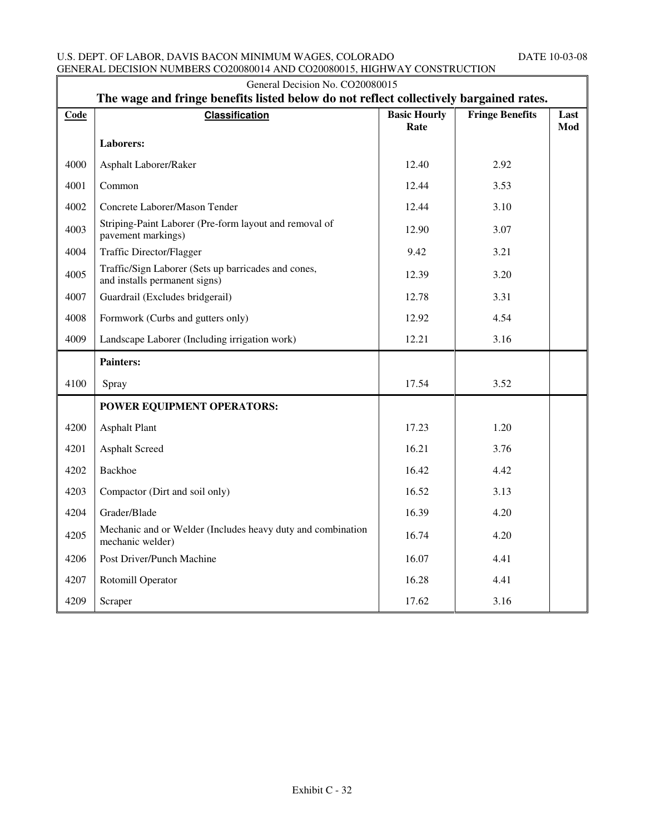٦

|      | General Decision No. CO20080015<br>The wage and fringe benefits listed below do not reflect collectively bargained rates. |                             |                        |             |
|------|---------------------------------------------------------------------------------------------------------------------------|-----------------------------|------------------------|-------------|
| Code | <b>Classification</b>                                                                                                     | <b>Basic Hourly</b><br>Rate | <b>Fringe Benefits</b> | Last<br>Mod |
|      | <b>Laborers:</b>                                                                                                          |                             |                        |             |
| 4000 | Asphalt Laborer/Raker                                                                                                     | 12.40                       | 2.92                   |             |
| 4001 | Common                                                                                                                    | 12.44                       | 3.53                   |             |
| 4002 | Concrete Laborer/Mason Tender                                                                                             | 12.44                       | 3.10                   |             |
| 4003 | Striping-Paint Laborer (Pre-form layout and removal of<br>pavement markings)                                              | 12.90                       | 3.07                   |             |
| 4004 | Traffic Director/Flagger                                                                                                  | 9.42                        | 3.21                   |             |
| 4005 | Traffic/Sign Laborer (Sets up barricades and cones,<br>and installs permanent signs)                                      | 12.39                       | 3.20                   |             |
| 4007 | Guardrail (Excludes bridgerail)                                                                                           | 12.78                       | 3.31                   |             |
| 4008 | Formwork (Curbs and gutters only)                                                                                         | 12.92                       | 4.54                   |             |
| 4009 | Landscape Laborer (Including irrigation work)                                                                             | 12.21                       | 3.16                   |             |
|      | <b>Painters:</b>                                                                                                          |                             |                        |             |
| 4100 | Spray                                                                                                                     | 17.54                       | 3.52                   |             |
|      | POWER EQUIPMENT OPERATORS:                                                                                                |                             |                        |             |
| 4200 | <b>Asphalt Plant</b>                                                                                                      | 17.23                       | 1.20                   |             |
| 4201 | <b>Asphalt Screed</b>                                                                                                     | 16.21                       | 3.76                   |             |
| 4202 | <b>Backhoe</b>                                                                                                            | 16.42                       | 4.42                   |             |
| 4203 | Compactor (Dirt and soil only)                                                                                            | 16.52                       | 3.13                   |             |
| 4204 | Grader/Blade                                                                                                              | 16.39                       | 4.20                   |             |
| 4205 | Mechanic and or Welder (Includes heavy duty and combination<br>mechanic welder)                                           | 16.74                       | 4.20                   |             |
| 4206 | Post Driver/Punch Machine                                                                                                 | 16.07                       | 4.41                   |             |
| 4207 | Rotomill Operator                                                                                                         | 16.28                       | 4.41                   |             |
| 4209 | Scraper                                                                                                                   | 17.62                       | 3.16                   |             |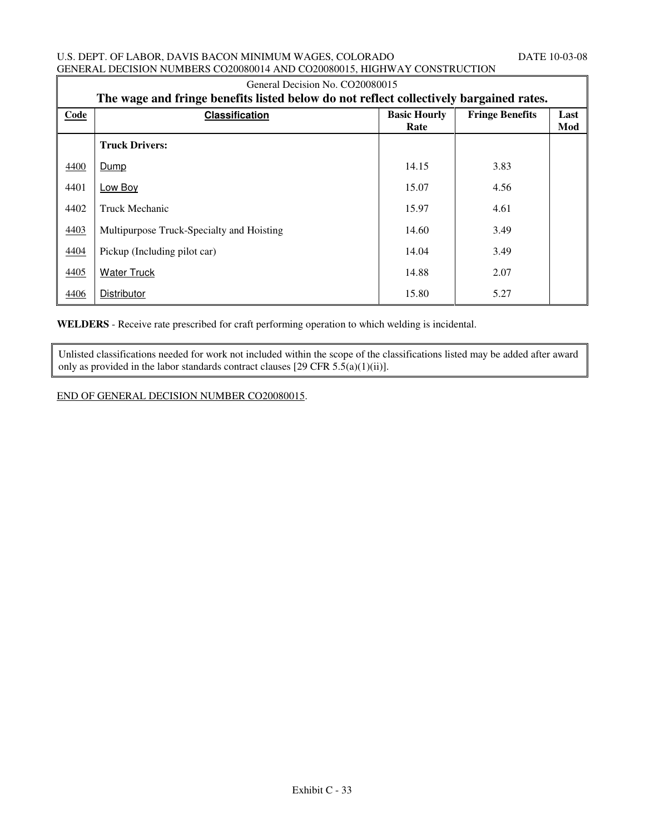## U.S. DEPT. OF LABOR, DAVIS BACON MINIMUM WAGES, COLORADO DATE 10-03-08 GENERAL DECISION NUMBERS CO20080014 AND CO20080015, HIGHWAY CONSTRUCTION

٦

| General Decision No. CO20080015<br>The wage and fringe benefits listed below do not reflect collectively bargained rates. |                                           |                             |                        |             |
|---------------------------------------------------------------------------------------------------------------------------|-------------------------------------------|-----------------------------|------------------------|-------------|
| Code                                                                                                                      | <b>Classification</b>                     | <b>Basic Hourly</b><br>Rate | <b>Fringe Benefits</b> | Last<br>Mod |
|                                                                                                                           | <b>Truck Drivers:</b>                     |                             |                        |             |
| 4400                                                                                                                      | Dump                                      | 14.15                       | 3.83                   |             |
| 4401                                                                                                                      | Low Boy                                   | 15.07                       | 4.56                   |             |
| 4402                                                                                                                      | Truck Mechanic                            | 15.97                       | 4.61                   |             |
| 4403                                                                                                                      | Multipurpose Truck-Specialty and Hoisting | 14.60                       | 3.49                   |             |
| 4404                                                                                                                      | Pickup (Including pilot car)              | 14.04                       | 3.49                   |             |
| 4405                                                                                                                      | <b>Water Truck</b>                        | 14.88                       | 2.07                   |             |
| 4406                                                                                                                      | Distributor                               | 15.80                       | 5.27                   |             |

**WELDERS** - Receive rate prescribed for craft performing operation to which welding is incidental.

Unlisted classifications needed for work not included within the scope of the classifications listed may be added after award only as provided in the labor standards contract clauses [29 CFR  $5.5(a)(1)(ii)$ ].

END OF GENERAL DECISION NUMBER CO20080015.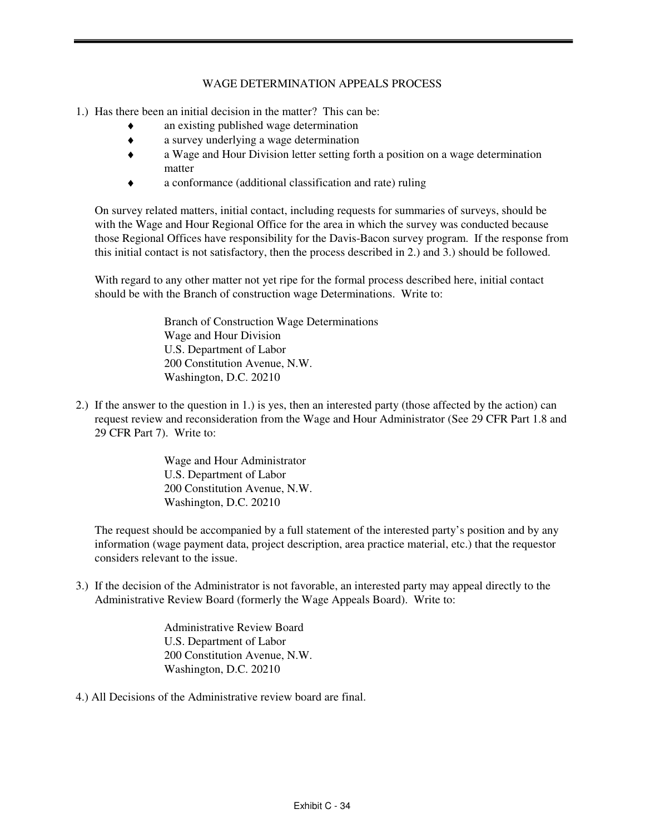## WAGE DETERMINATION APPEALS PROCESS

1.) Has there been an initial decision in the matter? This can be:

- an existing published wage determination
- ♦ a survey underlying a wage determination
- ♦ a Wage and Hour Division letter setting forth a position on a wage determination matter
- ♦ a conformance (additional classification and rate) ruling

On survey related matters, initial contact, including requests for summaries of surveys, should be with the Wage and Hour Regional Office for the area in which the survey was conducted because those Regional Offices have responsibility for the Davis-Bacon survey program. If the response from this initial contact is not satisfactory, then the process described in 2.) and 3.) should be followed.

With regard to any other matter not yet ripe for the formal process described here, initial contact should be with the Branch of construction wage Determinations. Write to:

> Branch of Construction Wage Determinations Wage and Hour Division U.S. Department of Labor 200 Constitution Avenue, N.W. Washington, D.C. 20210

2.) If the answer to the question in 1.) is yes, then an interested party (those affected by the action) can request review and reconsideration from the Wage and Hour Administrator (See 29 CFR Part 1.8 and 29 CFR Part 7). Write to:

> Wage and Hour Administrator U.S. Department of Labor 200 Constitution Avenue, N.W. Washington, D.C. 20210

The request should be accompanied by a full statement of the interested party's position and by any information (wage payment data, project description, area practice material, etc.) that the requestor considers relevant to the issue.

3.) If the decision of the Administrator is not favorable, an interested party may appeal directly to the Administrative Review Board (formerly the Wage Appeals Board). Write to:

> Administrative Review Board U.S. Department of Labor 200 Constitution Avenue, N.W. Washington, D.C. 20210

4.) All Decisions of the Administrative review board are final.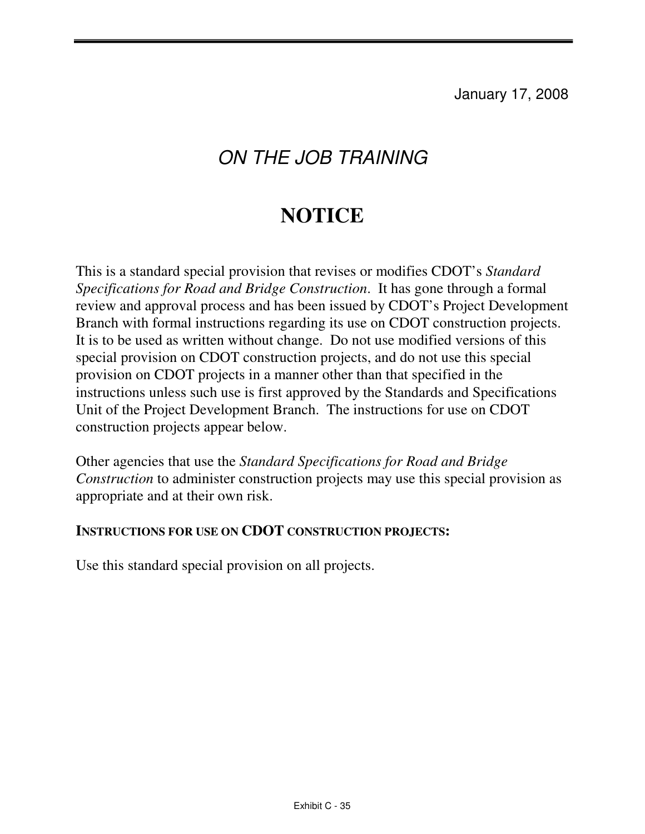January 17, 2008

# ON THE JOB TRAINING

# **NOTICE**

This is a standard special provision that revises or modifies CDOT's *Standard Specifications for Road and Bridge Construction*. It has gone through a formal review and approval process and has been issued by CDOT's Project Development Branch with formal instructions regarding its use on CDOT construction projects. It is to be used as written without change. Do not use modified versions of this special provision on CDOT construction projects, and do not use this special provision on CDOT projects in a manner other than that specified in the instructions unless such use is first approved by the Standards and Specifications Unit of the Project Development Branch. The instructions for use on CDOT construction projects appear below.

Other agencies that use the *Standard Specifications for Road and Bridge Construction* to administer construction projects may use this special provision as appropriate and at their own risk.

## **INSTRUCTIONS FOR USE ON CDOT CONSTRUCTION PROJECTS:**

Use this standard special provision on all projects.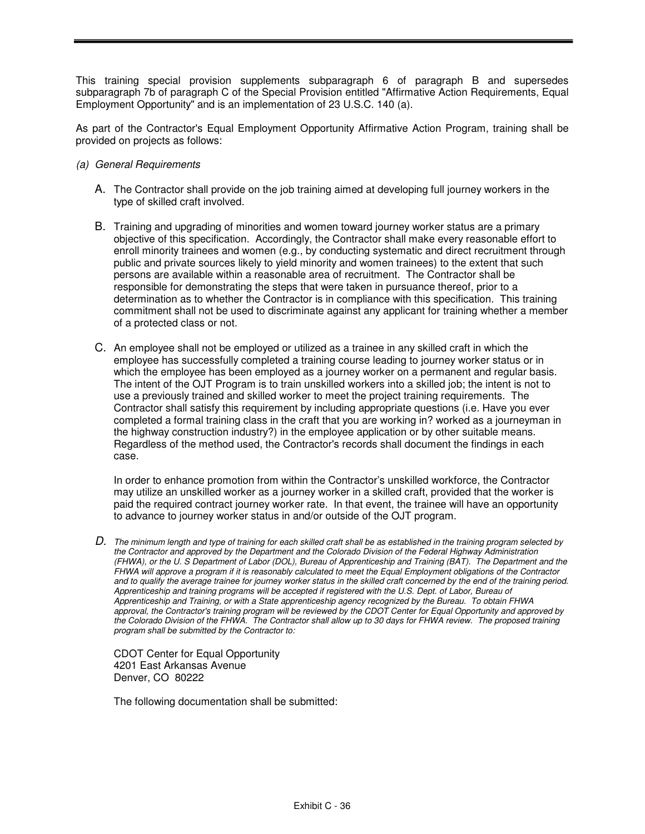This training special provision supplements subparagraph 6 of paragraph B and supersedes subparagraph 7b of paragraph C of the Special Provision entitled "Affirmative Action Requirements, Equal Employment Opportunity" and is an implementation of 23 U.S.C. 140 (a).

As part of the Contractor's Equal Employment Opportunity Affirmative Action Program, training shall be provided on projects as follows:

- (a) General Requirements
	- A. The Contractor shall provide on the job training aimed at developing full journey workers in the type of skilled craft involved.
	- B. Training and upgrading of minorities and women toward journey worker status are a primary objective of this specification. Accordingly, the Contractor shall make every reasonable effort to enroll minority trainees and women (e.g., by conducting systematic and direct recruitment through public and private sources likely to yield minority and women trainees) to the extent that such persons are available within a reasonable area of recruitment. The Contractor shall be responsible for demonstrating the steps that were taken in pursuance thereof, prior to a determination as to whether the Contractor is in compliance with this specification. This training commitment shall not be used to discriminate against any applicant for training whether a member of a protected class or not.
	- C. An employee shall not be employed or utilized as a trainee in any skilled craft in which the employee has successfully completed a training course leading to journey worker status or in which the employee has been employed as a journey worker on a permanent and regular basis. The intent of the OJT Program is to train unskilled workers into a skilled job; the intent is not to use a previously trained and skilled worker to meet the project training requirements. The Contractor shall satisfy this requirement by including appropriate questions (i.e. Have you ever completed a formal training class in the craft that you are working in? worked as a journeyman in the highway construction industry?) in the employee application or by other suitable means. Regardless of the method used, the Contractor's records shall document the findings in each case.

In order to enhance promotion from within the Contractor's unskilled workforce, the Contractor may utilize an unskilled worker as a journey worker in a skilled craft, provided that the worker is paid the required contract journey worker rate. In that event, the trainee will have an opportunity to advance to journey worker status in and/or outside of the OJT program.

D. The minimum length and type of training for each skilled craft shall be as established in the training program selected by the Contractor and approved by the Department and the Colorado Division of the Federal Highway Administration (FHWA), or the U. S Department of Labor (DOL), Bureau of Apprenticeship and Training (BAT). The Department and the FHWA will approve a program if it is reasonably calculated to meet the Equal Employment obligations of the Contractor and to qualify the average trainee for journey worker status in the skilled craft concerned by the end of the training period. Apprenticeship and training programs will be accepted if registered with the U.S. Dept. of Labor, Bureau of Apprenticeship and Training, or with a State apprenticeship agency recognized by the Bureau. To obtain FHWA approval, the Contractor's training program will be reviewed by the CDOT Center for Equal Opportunity and approved by the Colorado Division of the FHWA. The Contractor shall allow up to 30 days for FHWA review. The proposed training program shall be submitted by the Contractor to:

CDOT Center for Equal Opportunity 4201 East Arkansas Avenue Denver, CO 80222

The following documentation shall be submitted: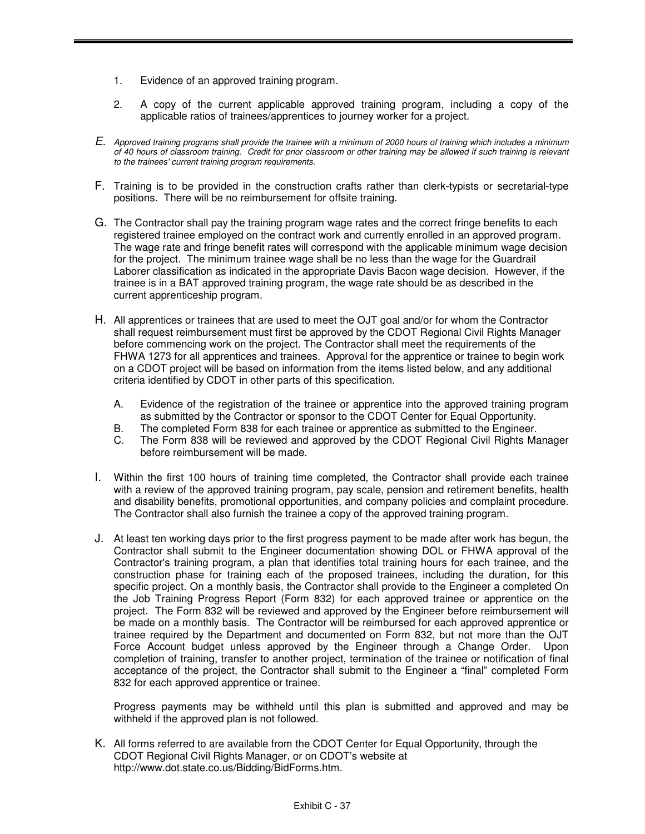- 1. Evidence of an approved training program.
- 2. A copy of the current applicable approved training program, including a copy of the applicable ratios of trainees/apprentices to journey worker for a project.
- $E$ . Approved training programs shall provide the trainee with a minimum of 2000 hours of training which includes a minimum of 40 hours of classroom training. Credit for prior classroom or other training may be allowed if such training is relevant to the trainees' current training program requirements.
- F. Training is to be provided in the construction crafts rather than clerk-typists or secretarial-type positions. There will be no reimbursement for offsite training.
- G. The Contractor shall pay the training program wage rates and the correct fringe benefits to each registered trainee employed on the contract work and currently enrolled in an approved program. The wage rate and fringe benefit rates will correspond with the applicable minimum wage decision for the project. The minimum trainee wage shall be no less than the wage for the Guardrail Laborer classification as indicated in the appropriate Davis Bacon wage decision. However, if the trainee is in a BAT approved training program, the wage rate should be as described in the current apprenticeship program.
- H. All apprentices or trainees that are used to meet the OJT goal and/or for whom the Contractor shall request reimbursement must first be approved by the CDOT Regional Civil Rights Manager before commencing work on the project. The Contractor shall meet the requirements of the FHWA 1273 for all apprentices and trainees. Approval for the apprentice or trainee to begin work on a CDOT project will be based on information from the items listed below, and any additional criteria identified by CDOT in other parts of this specification.
	- A. Evidence of the registration of the trainee or apprentice into the approved training program as submitted by the Contractor or sponsor to the CDOT Center for Equal Opportunity.
	- B. The completed Form 838 for each trainee or apprentice as submitted to the Engineer.
	- C. The Form 838 will be reviewed and approved by the CDOT Regional Civil Rights Manager before reimbursement will be made.
- I. Within the first 100 hours of training time completed, the Contractor shall provide each trainee with a review of the approved training program, pay scale, pension and retirement benefits, health and disability benefits, promotional opportunities, and company policies and complaint procedure. The Contractor shall also furnish the trainee a copy of the approved training program.
- J. At least ten working days prior to the first progress payment to be made after work has begun, the Contractor shall submit to the Engineer documentation showing DOL or FHWA approval of the Contractor's training program, a plan that identifies total training hours for each trainee, and the construction phase for training each of the proposed trainees, including the duration, for this specific project. On a monthly basis, the Contractor shall provide to the Engineer a completed On the Job Training Progress Report (Form 832) for each approved trainee or apprentice on the project. The Form 832 will be reviewed and approved by the Engineer before reimbursement will be made on a monthly basis. The Contractor will be reimbursed for each approved apprentice or trainee required by the Department and documented on Form 832, but not more than the OJT Force Account budget unless approved by the Engineer through a Change Order. Upon completion of training, transfer to another project, termination of the trainee or notification of final acceptance of the project, the Contractor shall submit to the Engineer a "final" completed Form 832 for each approved apprentice or trainee.

Progress payments may be withheld until this plan is submitted and approved and may be withheld if the approved plan is not followed.

K. All forms referred to are available from the CDOT Center for Equal Opportunity, through the CDOT Regional Civil Rights Manager, or on CDOT's website at http://www.dot.state.co.us/Bidding/BidForms.htm.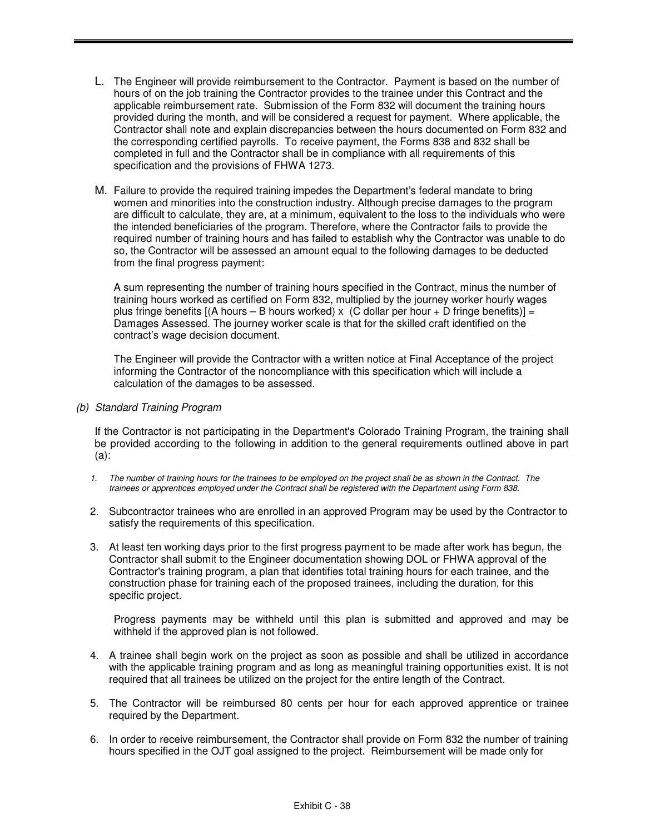- L. The Engineer will provide reimbursement to the Contractor. Payment is based on the number of hours of on the job training the Contractor provides to the trainee under this Contract and the applicable reimbursement rate. Submission of the Form 832 will document the training hours provided during the month, and will be considered a request for payment. Where applicable, the Contractor shall note and explain discrepancies between the hours documented on Form 832 and the corresponding certified payrolls. To receive payment, the Forms 838 and 832 shall be completed in full and the Contractor shall be in compliance with all requirements of this specification and the provisions of FHWA 1273.
- M. Failure to provide the required training impedes the Department's federal mandate to bring women and minorities into the construction industry. Although precise damages to the program are difficult to calculate, they are, at a minimum, equivalent to the loss to the individuals who were the intended beneficiaries of the program. Therefore, where the Contractor fails to provide the required number of training hours and has failed to establish why the Contractor was unable to do so, the Contractor will be assessed an amount equal to the following damages to be deducted from the final progress payment:

A sum representing the number of training hours specified in the Contract, minus the number of training hours worked as certified on Form 832, multiplied by the journey worker hourly wages plus fringe benefits  $[(A hours - B hours worked) \times (C dollar per hour + D fringe benefits)] =$ Damages Assessed. The journey worker scale is that for the skilled craft identified on the contract's wage decision document.

The Engineer will provide the Contractor with a written notice at Final Acceptance of the project informing the Contractor of the noncompliance with this specification which will include a calculation of the damages to be assessed.

(b) Standard Training Program

If the Contractor is not participating in the Department's Colorado Training Program, the training shall be provided according to the following in addition to the general requirements outlined above in part (a):

- 1. The number of training hours for the trainees to be employed on the project shall be as shown in the Contract. The trainees or apprentices employed under the Contract shall be registered with the Department using Form 838.
- 2. Subcontractor trainees who are enrolled in an approved Program may be used by the Contractor to satisfy the requirements of this specification.
- 3. At least ten working days prior to the first progress payment to be made after work has begun, the Contractor shall submit to the Engineer documentation showing DOL or FHWA approval of the Contractor's training program, a plan that identifies total training hours for each trainee, and the construction phase for training each of the proposed trainees, including the duration, for this specific project.

Progress payments may be withheld until this plan is submitted and approved and may be withheld if the approved plan is not followed.

- 4. A trainee shall begin work on the project as soon as possible and shall be utilized in accordance with the applicable training program and as long as meaningful training opportunities exist. It is not required that all trainees be utilized on the project for the entire length of the Contract.
- 5. The Contractor will be reimbursed 80 cents per hour for each approved apprentice or trainee required by the Department.
- 6. In order to receive reimbursement, the Contractor shall provide on Form 832 the number of training hours specified in the OJT goal assigned to the project. Reimbursement will be made only for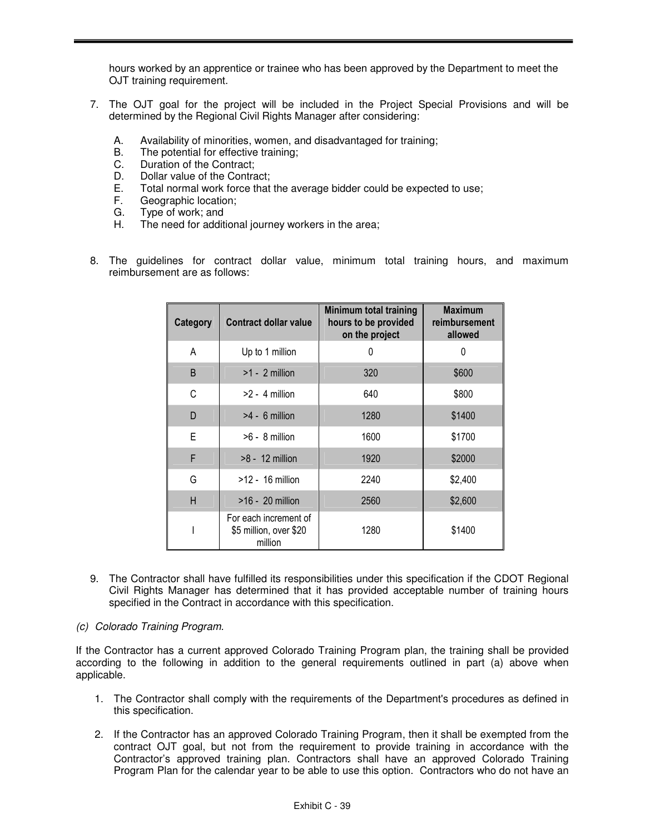hours worked by an apprentice or trainee who has been approved by the Department to meet the OJT training requirement.

- 7. The OJT goal for the project will be included in the Project Special Provisions and will be determined by the Regional Civil Rights Manager after considering:
	- A. Availability of minorities, women, and disadvantaged for training;
	- B. The potential for effective training;
	- C. Duration of the Contract;
	- D. Dollar value of the Contract;
	- E. Total normal work force that the average bidder could be expected to use;
	- Geographic location;
	- G. Type of work; and
	- H. The need for additional journey workers in the area;
- 8. The guidelines for contract dollar value, minimum total training hours, and maximum reimbursement are as follows:

| Category | <b>Contract dollar value</b>                               | <b>Minimum total training</b><br>hours to be provided<br>on the project | <b>Maximum</b><br>reimbursement<br>allowed |
|----------|------------------------------------------------------------|-------------------------------------------------------------------------|--------------------------------------------|
| A        | Up to 1 million                                            | 0                                                                       | 0                                          |
| B        | $>1 - 2$ million                                           | 320                                                                     | \$600                                      |
| C        | $>2 - 4$ million                                           | 640                                                                     | \$800                                      |
| D        | $>4 - 6$ million                                           | 1280                                                                    | \$1400                                     |
| F        | $>6 - 8$ million                                           | 1600                                                                    | \$1700                                     |
| F        | $>8 - 12$ million                                          | 1920                                                                    | \$2000                                     |
| G        | $>12 - 16$ million                                         | 2240                                                                    | \$2,400                                    |
| H        | $>16 - 20$ million                                         | 2560                                                                    | \$2,600                                    |
|          | For each increment of<br>\$5 million, over \$20<br>million | 1280                                                                    | \$1400                                     |

- 9. The Contractor shall have fulfilled its responsibilities under this specification if the CDOT Regional Civil Rights Manager has determined that it has provided acceptable number of training hours specified in the Contract in accordance with this specification.
- (c) Colorado Training Program.

If the Contractor has a current approved Colorado Training Program plan, the training shall be provided according to the following in addition to the general requirements outlined in part (a) above when applicable.

- 1. The Contractor shall comply with the requirements of the Department's procedures as defined in this specification.
- 2. If the Contractor has an approved Colorado Training Program, then it shall be exempted from the contract OJT goal, but not from the requirement to provide training in accordance with the Contractor's approved training plan. Contractors shall have an approved Colorado Training Program Plan for the calendar year to be able to use this option. Contractors who do not have an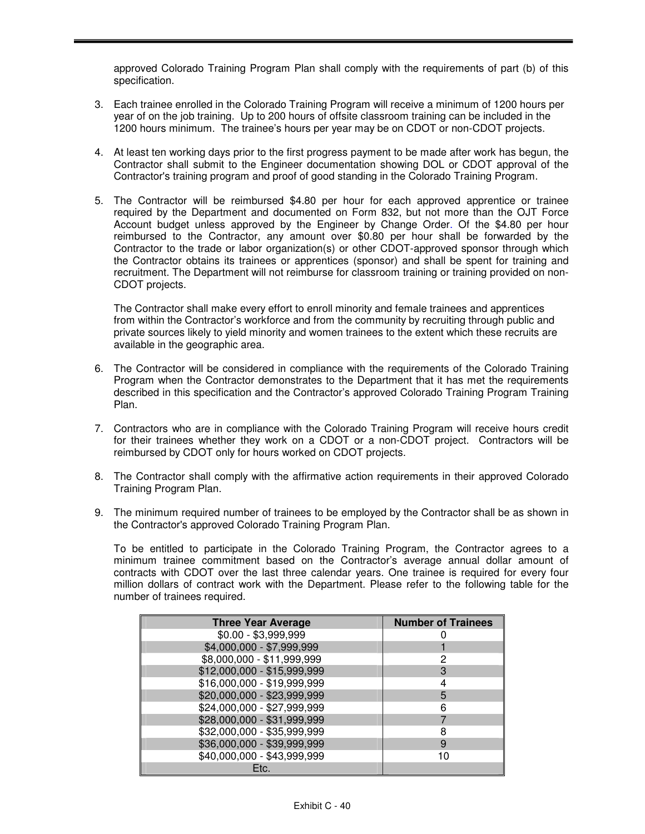approved Colorado Training Program Plan shall comply with the requirements of part (b) of this specification.

- 3. Each trainee enrolled in the Colorado Training Program will receive a minimum of 1200 hours per year of on the job training. Up to 200 hours of offsite classroom training can be included in the 1200 hours minimum. The trainee's hours per year may be on CDOT or non-CDOT projects.
- 4. At least ten working days prior to the first progress payment to be made after work has begun, the Contractor shall submit to the Engineer documentation showing DOL or CDOT approval of the Contractor's training program and proof of good standing in the Colorado Training Program.
- 5. The Contractor will be reimbursed \$4.80 per hour for each approved apprentice or trainee required by the Department and documented on Form 832, but not more than the OJT Force Account budget unless approved by the Engineer by Change Order. Of the \$4.80 per hour reimbursed to the Contractor, any amount over \$0.80 per hour shall be forwarded by the Contractor to the trade or labor organization(s) or other CDOT-approved sponsor through which the Contractor obtains its trainees or apprentices (sponsor) and shall be spent for training and recruitment. The Department will not reimburse for classroom training or training provided on non-CDOT projects.

The Contractor shall make every effort to enroll minority and female trainees and apprentices from within the Contractor's workforce and from the community by recruiting through public and private sources likely to yield minority and women trainees to the extent which these recruits are available in the geographic area.

- 6. The Contractor will be considered in compliance with the requirements of the Colorado Training Program when the Contractor demonstrates to the Department that it has met the requirements described in this specification and the Contractor's approved Colorado Training Program Training Plan.
- 7. Contractors who are in compliance with the Colorado Training Program will receive hours credit for their trainees whether they work on a CDOT or a non-CDOT project. Contractors will be reimbursed by CDOT only for hours worked on CDOT projects.
- 8. The Contractor shall comply with the affirmative action requirements in their approved Colorado Training Program Plan.
- 9. The minimum required number of trainees to be employed by the Contractor shall be as shown in the Contractor's approved Colorado Training Program Plan.

To be entitled to participate in the Colorado Training Program, the Contractor agrees to a minimum trainee commitment based on the Contractor's average annual dollar amount of contracts with CDOT over the last three calendar years. One trainee is required for every four million dollars of contract work with the Department. Please refer to the following table for the number of trainees required.

| <b>Three Year Average</b>   | <b>Number of Trainees</b> |
|-----------------------------|---------------------------|
| $$0.00 - $3,999,999$        |                           |
| \$4,000,000 - \$7,999,999   |                           |
| \$8,000,000 - \$11,999,999  | 2                         |
| \$12,000,000 - \$15,999,999 | 3                         |
| \$16,000,000 - \$19,999,999 |                           |
| \$20,000,000 - \$23,999,999 | 5                         |
| \$24,000,000 - \$27,999,999 | 6                         |
| \$28,000,000 - \$31,999,999 |                           |
| \$32,000,000 - \$35,999,999 | 8                         |
| \$36,000,000 - \$39,999,999 | 9                         |
| \$40,000,000 - \$43,999,999 | 10                        |
| Etc.                        |                           |